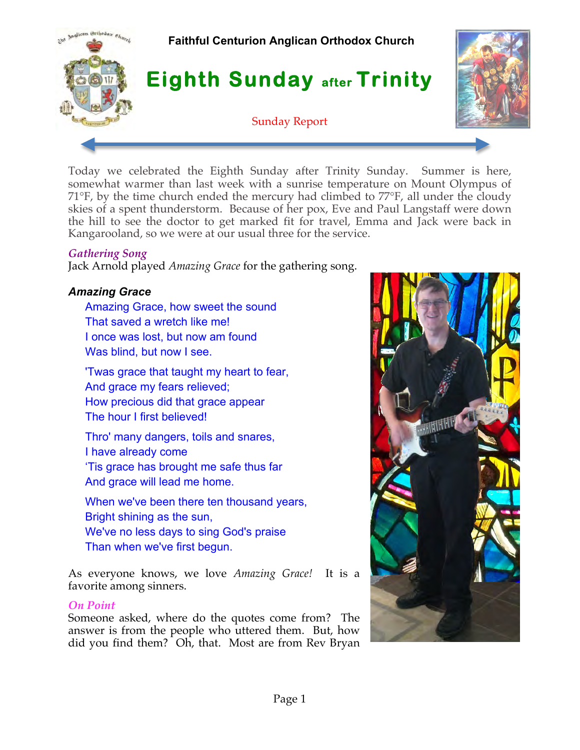

Today we celebrated the Eighth Sunday after Trinity Sunday. Summer is here, somewhat warmer than last week with a sunrise temperature on Mount Olympus of 71°F, by the time church ended the mercury had climbed to 77°F, all under the cloudy skies of a spent thunderstorm. Because of her pox, Eve and Paul Langstaff were down the hill to see the doctor to get marked fit for travel, Emma and Jack were back in Kangarooland, so we were at our usual three for the service.

## *Gathering Song*

Jack Arnold played *Amazing Grace* for the gathering song.

## *Amazing Grace*

Amazing Grace, how sweet the sound That saved a wretch like me! I once was lost, but now am found Was blind, but now I see.

'Twas grace that taught my heart to fear, And grace my fears relieved; How precious did that grace appear The hour I first believed!

Thro' many dangers, toils and snares, I have already come 'Tis grace has brought me safe thus far And grace will lead me home.

When we've been there ten thousand years, Bright shining as the sun, We've no less days to sing God's praise Than when we've first begun.

As everyone knows, we love *Amazing Grace!* It is a favorite among sinners.

#### *On Point*

Someone asked, where do the quotes come from? The answer is from the people who uttered them. But, how did you find them? Oh, that. Most are from Rev Bryan

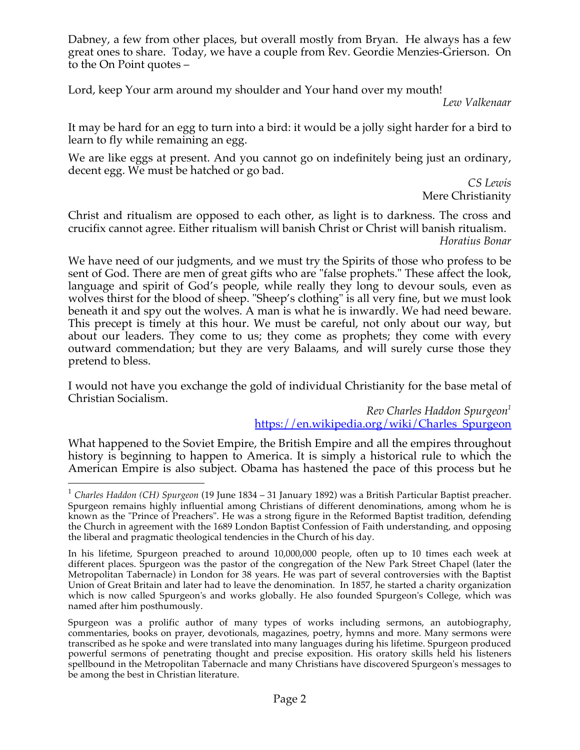Dabney, a few from other places, but overall mostly from Bryan. He always has a few great ones to share. Today, we have a couple from Rev. Geordie Menzies-Grierson. On to the On Point quotes –

Lord, keep Your arm around my shoulder and Your hand over my mouth!

*Lew Valkenaar*

It may be hard for an egg to turn into a bird: it would be a jolly sight harder for a bird to learn to fly while remaining an egg.

We are like eggs at present. And you cannot go on indefinitely being just an ordinary, decent egg. We must be hatched or go bad.

*CS Lewis* Mere Christianity

Christ and ritualism are opposed to each other, as light is to darkness. The cross and crucifix cannot agree. Either ritualism will banish Christ or Christ will banish ritualism. *Horatius Bonar*

We have need of our judgments, and we must try the Spirits of those who profess to be sent of God. There are men of great gifts who are "false prophets." These affect the look, language and spirit of God's people, while really they long to devour souls, even as wolves thirst for the blood of sheep. "Sheep's clothing" is all very fine, but we must look beneath it and spy out the wolves. A man is what he is inwardly. We had need beware. This precept is timely at this hour. We must be careful, not only about our way, but about our leaders. They come to us; they come as prophets; they come with every outward commendation; but they are very Balaams, and will surely curse those they pretend to bless.

I would not have you exchange the gold of individual Christianity for the base metal of Christian Socialism.

*Rev Charles Haddon Spurgeon1* https://en.wikipedia.org/wiki/Charles\_Spurgeon

What happened to the Soviet Empire, the British Empire and all the empires throughout history is beginning to happen to America. It is simply a historical rule to which the American Empire is also subject. Obama has hastened the pace of this process but he

 <sup>1</sup> *Charles Haddon (CH) Spurgeon* (19 June 1834 – 31 January 1892) was a British Particular Baptist preacher. Spurgeon remains highly influential among Christians of different denominations, among whom he is known as the "Prince of Preachers". He was a strong figure in the Reformed Baptist tradition, defending the Church in agreement with the 1689 London Baptist Confession of Faith understanding, and opposing the liberal and pragmatic theological tendencies in the Church of his day.

In his lifetime, Spurgeon preached to around 10,000,000 people, often up to 10 times each week at different places. Spurgeon was the pastor of the congregation of the New Park Street Chapel (later the Metropolitan Tabernacle) in London for 38 years. He was part of several controversies with the Baptist Union of Great Britain and later had to leave the denomination. In 1857, he started a charity organization which is now called Spurgeon's and works globally. He also founded Spurgeon's College, which was named after him posthumously.

Spurgeon was a prolific author of many types of works including sermons, an autobiography, commentaries, books on prayer, devotionals, magazines, poetry, hymns and more. Many sermons were transcribed as he spoke and were translated into many languages during his lifetime. Spurgeon produced powerful sermons of penetrating thought and precise exposition. His oratory skills held his listeners spellbound in the Metropolitan Tabernacle and many Christians have discovered Spurgeon's messages to be among the best in Christian literature.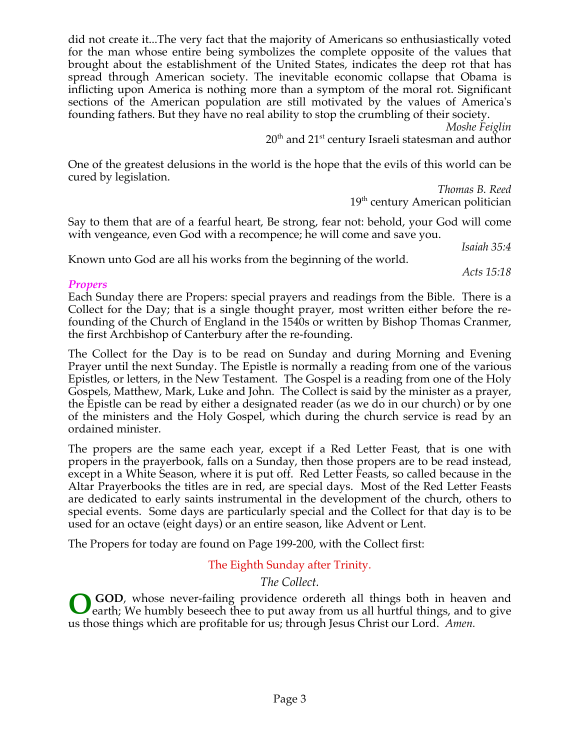did not create it...The very fact that the majority of Americans so enthusiastically voted for the man whose entire being symbolizes the complete opposite of the values that brought about the establishment of the United States, indicates the deep rot that has spread through American society. The inevitable economic collapse that Obama is inflicting upon America is nothing more than a symptom of the moral rot. Significant sections of the American population are still motivated by the values of America's founding fathers. But they have no real ability to stop the crumbling of their society.

*Moshe Feiglin*

 $20^{\rm th}$  and  $21^{\rm st}$  century Israeli statesman and author

One of the greatest delusions in the world is the hope that the evils of this world can be cured by legislation.

> *Thomas B. Reed* 19<sup>th</sup> century American politician

Say to them that are of a fearful heart, Be strong, fear not: behold, your God will come with vengeance, even God with a recompence; he will come and save you.

*Isaiah 35:4*

Known unto God are all his works from the beginning of the world.

*Acts 15:18*

## *Propers*

Each Sunday there are Propers: special prayers and readings from the Bible. There is a Collect for the Day; that is a single thought prayer, most written either before the refounding of the Church of England in the 1540s or written by Bishop Thomas Cranmer, the first Archbishop of Canterbury after the re-founding.

The Collect for the Day is to be read on Sunday and during Morning and Evening Prayer until the next Sunday. The Epistle is normally a reading from one of the various Epistles, or letters, in the New Testament. The Gospel is a reading from one of the Holy Gospels, Matthew, Mark, Luke and John. The Collect is said by the minister as a prayer, the Epistle can be read by either a designated reader (as we do in our church) or by one of the ministers and the Holy Gospel, which during the church service is read by an ordained minister.

The propers are the same each year, except if a Red Letter Feast, that is one with propers in the prayerbook, falls on a Sunday, then those propers are to be read instead, except in a White Season, where it is put off. Red Letter Feasts, so called because in the Altar Prayerbooks the titles are in red, are special days. Most of the Red Letter Feasts are dedicated to early saints instrumental in the development of the church, others to special events. Some days are particularly special and the Collect for that day is to be used for an octave (eight days) or an entire season, like Advent or Lent.

The Propers for today are found on Page 199-200, with the Collect first:

# The Eighth Sunday after Trinity.

## *The Collect.*

**GOD**, whose never-failing providence ordereth all things both in heaven and earth; We humbly beseech thee to put away from us all hurtful things, and to give us those things which are profitable for us; through Jesus Christ our Lord. *Amen.* **O**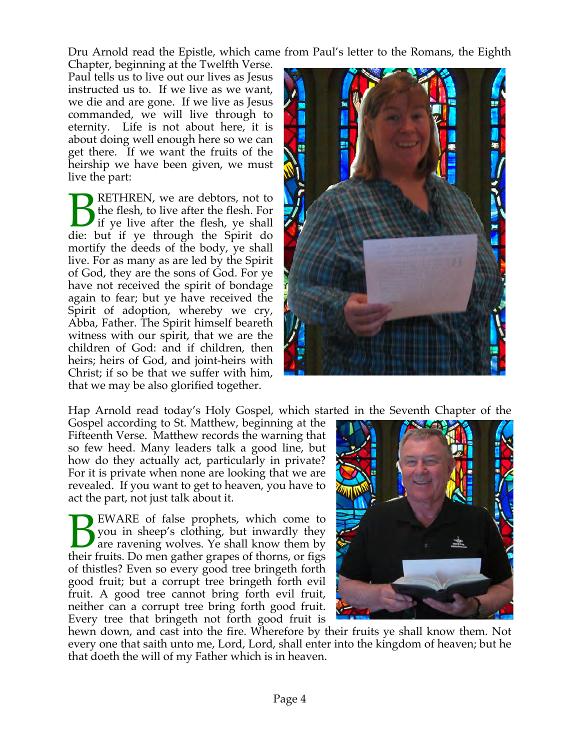Dru Arnold read the Epistle, which came from Paul's letter to the Romans, the Eighth

Chapter, beginning at the Twelfth Verse. Paul tells us to live out our lives as Jesus instructed us to. If we live as we want, we die and are gone. If we live as Jesus commanded, we will live through to eternity. Life is not about here, it is about doing well enough here so we can get there. If we want the fruits of the heirship we have been given, we must live the part:

RETHREN, we are debtors, not to the flesh, to live after the flesh. For If ye live after the flesh, ye shall **die:** but if ye through the Spirit do spirit do spirit do the Spirit do spirit do spirit do spirit do spirit do spirit do spirit do spirit do spirit do spirit do spirit do spirit do spirit do spirit do spirit do spirit do mortify the deeds of the body, ye shall live. For as many as are led by the Spirit of God, they are the sons of God. For ye have not received the spirit of bondage again to fear; but ye have received the Spirit of adoption, whereby we cry, Abba, Father. The Spirit himself beareth witness with our spirit, that we are the children of God: and if children, then heirs; heirs of God, and joint-heirs with Christ; if so be that we suffer with him, that we may be also glorified together.



Hap Arnold read today's Holy Gospel, which started in the Seventh Chapter of the

Gospel according to St. Matthew, beginning at the Fifteenth Verse. Matthew records the warning that so few heed. Many leaders talk a good line, but how do they actually act, particularly in private? For it is private when none are looking that we are revealed. If you want to get to heaven, you have to act the part, not just talk about it.

EWARE of false prophets, which come to you in sheep's clothing, but inwardly they are ravening wolves. Ye shall know them by EWARE of false prophets, which come to you in sheep's clothing, but inwardly they are ravening wolves. Ye shall know them by their fruits. Do men gather grapes of thorns, or figs of thistles? Even so every good tree bringeth forth good fruit; but a corrupt tree bringeth forth evil fruit. A good tree cannot bring forth evil fruit, neither can a corrupt tree bring forth good fruit. Every tree that bringeth not forth good fruit is



hewn down, and cast into the fire. Wherefore by their fruits ye shall know them. Not every one that saith unto me, Lord, Lord, shall enter into the kingdom of heaven; but he that doeth the will of my Father which is in heaven.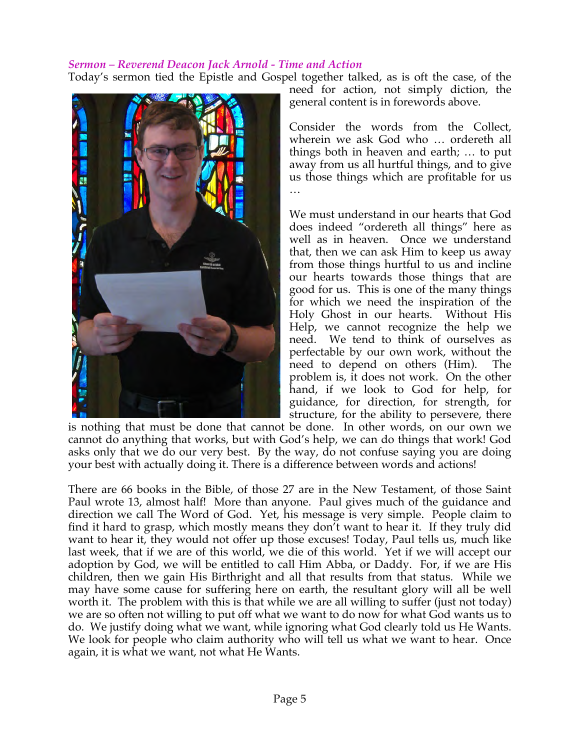# *Sermon – Reverend Deacon Jack Arnold - Time and Action*

Today's sermon tied the Epistle and Gospel together talked, as is oft the case, of the



need for action, not simply diction, the general content is in forewords above.

Consider the words from the Collect, wherein we ask God who … ordereth all things both in heaven and earth; … to put away from us all hurtful things, and to give us those things which are profitable for us …

We must understand in our hearts that God does indeed "ordereth all things" here as well as in heaven. Once we understand that, then we can ask Him to keep us away from those things hurtful to us and incline our hearts towards those things that are good for us. This is one of the many things for which we need the inspiration of the Holy Ghost in our hearts. Without His Help, we cannot recognize the help we need. We tend to think of ourselves as perfectable by our own work, without the need to depend on others (Him). The problem is, it does not work. On the other hand, if we look to God for help, for guidance, for direction, for strength, for structure, for the ability to persevere, there

is nothing that must be done that cannot be done. In other words, on our own we cannot do anything that works, but with God's help, we can do things that work! God asks only that we do our very best. By the way, do not confuse saying you are doing your best with actually doing it. There is a difference between words and actions!

There are 66 books in the Bible, of those 27 are in the New Testament, of those Saint Paul wrote 13, almost half! More than anyone. Paul gives much of the guidance and direction we call The Word of God. Yet, his message is very simple. People claim to find it hard to grasp, which mostly means they don't want to hear it. If they truly did want to hear it, they would not offer up those excuses! Today, Paul tells us, much like last week, that if we are of this world, we die of this world. Yet if we will accept our adoption by God, we will be entitled to call Him Abba, or Daddy. For, if we are His children, then we gain His Birthright and all that results from that status. While we may have some cause for suffering here on earth, the resultant glory will all be well worth it. The problem with this is that while we are all willing to suffer (just not today) we are so often not willing to put off what we want to do now for what God wants us to do. We justify doing what we want, while ignoring what God clearly told us He Wants. We look for people who claim authority who will tell us what we want to hear. Once again, it is what we want, not what He Wants.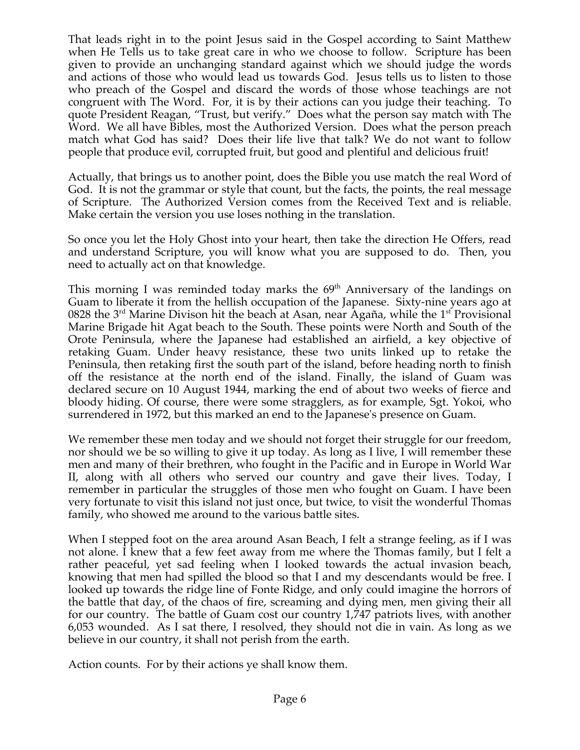That leads right in to the point Jesus said in the Gospel according to Saint Matthew when He Tells us to take great care in who we choose to follow. Scripture has been given to provide an unchanging standard against which we should judge the words and actions of those who would lead us towards God. Jesus tells us to listen to those who preach of the Gospel and discard the words of those whose teachings are not congruent with The Word. For, it is by their actions can you judge their teaching. To quote President Reagan, "Trust, but verify." Does what the person say match with The Word. We all have Bibles, most the Authorized Version. Does what the person preach match what God has said? Does their life live that talk? We do not want to follow people that produce evil, corrupted fruit, but good and plentiful and delicious fruit!

Actually, that brings us to another point, does the Bible you use match the real Word of God. It is not the grammar or style that count, but the facts, the points, the real message of Scripture. The Authorized Version comes from the Received Text and is reliable. Make certain the version you use loses nothing in the translation.

So once you let the Holy Ghost into your heart, then take the direction He Offers, read and understand Scripture, you will know what you are supposed to do. Then, you need to actually act on that knowledge.

This morning I was reminded today marks the 69<sup>th</sup> Anniversary of the landings on Guam to liberate it from the hellish occupation of the Japanese. Sixty-nine years ago at 0828 the  $3<sup>rd</sup>$  Marine Divison hit the beach at Asan, near Agaña, while the  $1<sup>st</sup>$  Provisional Marine Brigade hit Agat beach to the South. These points were North and South of the Orote Peninsula, where the Japanese had established an airfield, a key objective of retaking Guam. Under heavy resistance, these two units linked up to retake the Peninsula, then retaking first the south part of the island, before heading north to finish off the resistance at the north end of the island. Finally, the island of Guam was declared secure on 10 August 1944, marking the end of about two weeks of fierce and bloody hiding. Of course, there were some stragglers, as for example, Sgt. Yokoi, who surrendered in 1972, but this marked an end to the Japanese's presence on Guam.

We remember these men today and we should not forget their struggle for our freedom, nor should we be so willing to give it up today. As long as I live, I will remember these men and many of their brethren, who fought in the Pacific and in Europe in World War II, along with all others who served our country and gave their lives. Today, I remember in particular the struggles of those men who fought on Guam. I have been very fortunate to visit this island not just once, but twice, to visit the wonderful Thomas family, who showed me around to the various battle sites.

When I stepped foot on the area around Asan Beach, I felt a strange feeling, as if I was not alone. I knew that a few feet away from me where the Thomas family, but I felt a rather peaceful, yet sad feeling when I looked towards the actual invasion beach, knowing that men had spilled the blood so that I and my descendants would be free. I looked up towards the ridge line of Fonte Ridge, and only could imagine the horrors of the battle that day, of the chaos of fire, screaming and dying men, men giving their all for our country. The battle of Guam cost our country 1,747 patriots lives, with another 6,053 wounded. As I sat there, I resolved, they should not die in vain. As long as we believe in our country, it shall not perish from the earth.

Action counts. For by their actions ye shall know them.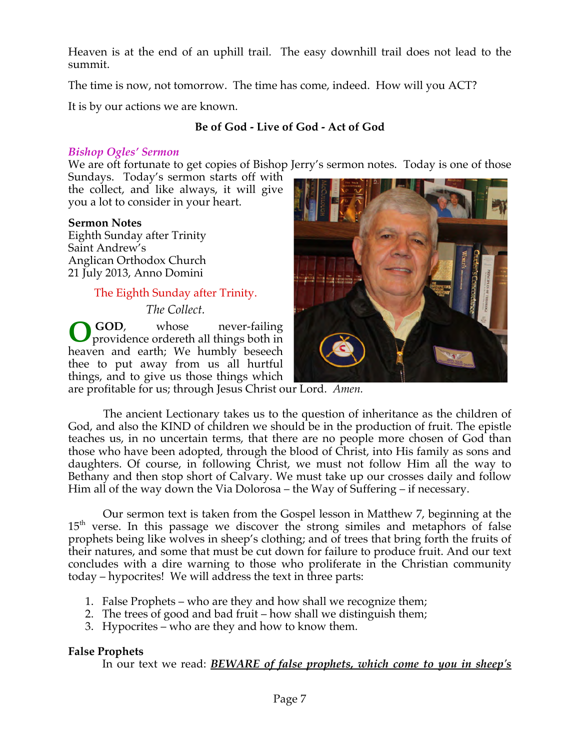Heaven is at the end of an uphill trail. The easy downhill trail does not lead to the summit.

The time is now, not tomorrow. The time has come, indeed. How will you ACT?

It is by our actions we are known.

# **Be of God - Live of God - Act of God**

## *Bishop Ogles' Sermon*

We are oft fortunate to get copies of Bishop Jerry's sermon notes. Today is one of those

Sundays. Today's sermon starts off with the collect, and like always, it will give you a lot to consider in your heart.

## **Sermon Notes**

Eighth Sunday after Trinity Saint Andrew's Anglican Orthodox Church 21 July 2013, Anno Domini

## The Eighth Sunday after Trinity.

### *The Collect.*

**GOD**, whose never-failing providence ordereth all things both in heaven and earth; We humbly beseech thee to put away from us all hurtful things, and to give us those things which **O**



are profitable for us; through Jesus Christ our Lord. *Amen.*

 The ancient Lectionary takes us to the question of inheritance as the children of God, and also the KIND of children we should be in the production of fruit. The epistle teaches us, in no uncertain terms, that there are no people more chosen of God than those who have been adopted, through the blood of Christ, into His family as sons and daughters. Of course, in following Christ, we must not follow Him all the way to Bethany and then stop short of Calvary. We must take up our crosses daily and follow Him all of the way down the Via Dolorosa – the Way of Suffering – if necessary.

 Our sermon text is taken from the Gospel lesson in Matthew 7, beginning at the  $15<sup>th</sup>$  verse. In this passage we discover the strong similes and metaphors of false prophets being like wolves in sheep's clothing; and of trees that bring forth the fruits of their natures, and some that must be cut down for failure to produce fruit. And our text concludes with a dire warning to those who proliferate in the Christian community today – hypocrites! We will address the text in three parts:

- 1. False Prophets who are they and how shall we recognize them;
- 2. The trees of good and bad fruit how shall we distinguish them;
- 3. Hypocrites who are they and how to know them.

## **False Prophets**

In our text we read: *BEWARE of false prophets, which come to you in sheep's*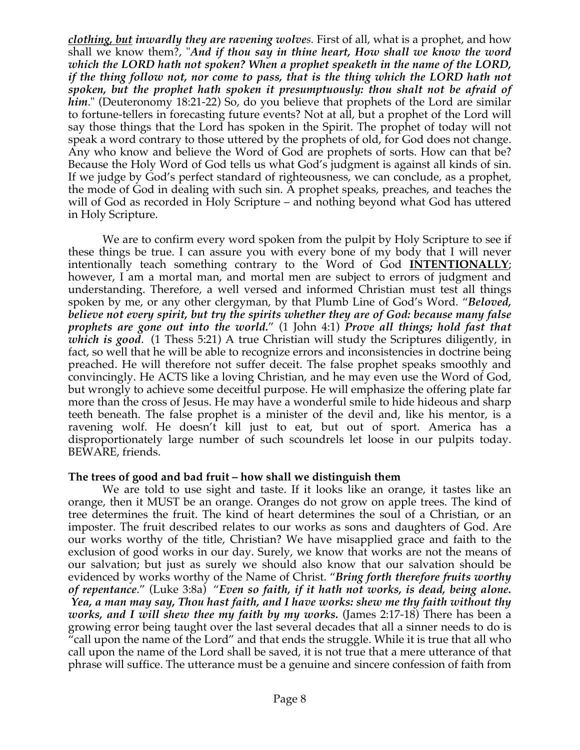*clothing, but inwardly they are ravening wolves.* First of all, what is a prophet, and how shall we know them?, "*And if thou say in thine heart, How shall we know the word which the LORD hath not spoken? When a prophet speaketh in the name of the LORD, if the thing follow not, nor come to pass, that is the thing which the LORD hath not spoken, but the prophet hath spoken it presumptuously: thou shalt not be afraid of him*." (Deuteronomy 18:21-22) So, do you believe that prophets of the Lord are similar to fortune-tellers in forecasting future events? Not at all, but a prophet of the Lord will say those things that the Lord has spoken in the Spirit. The prophet of today will not speak a word contrary to those uttered by the prophets of old, for God does not change. Any who know and believe the Word of God are prophets of sorts. How can that be? Because the Holy Word of God tells us what God's judgment is against all kinds of sin. If we judge by God's perfect standard of righteousness, we can conclude, as a prophet, the mode of God in dealing with such sin. A prophet speaks, preaches, and teaches the will of God as recorded in Holy Scripture – and nothing beyond what God has uttered in Holy Scripture.

 We are to confirm every word spoken from the pulpit by Holy Scripture to see if these things be true. I can assure you with every bone of my body that I will never intentionally teach something contrary to the Word of God **INTENTIONALLY**; however, I am a mortal man, and mortal men are subject to errors of judgment and understanding. Therefore, a well versed and informed Christian must test all things spoken by me, or any other clergyman, by that Plumb Line of God's Word. "*Beloved, believe not every spirit, but try the spirits whether they are of God: because many false prophets are gone out into the world.*" (1 John 4:1) *Prove all things; hold fast that which is good*. (1 Thess 5:21) A true Christian will study the Scriptures diligently, in fact, so well that he will be able to recognize errors and inconsistencies in doctrine being preached. He will therefore not suffer deceit. The false prophet speaks smoothly and convincingly. He ACTS like a loving Christian, and he may even use the Word of God, but wrongly to achieve some deceitful purpose. He will emphasize the offering plate far more than the cross of Jesus. He may have a wonderful smile to hide hideous and sharp teeth beneath. The false prophet is a minister of the devil and, like his mentor, is a ravening wolf. He doesn't kill just to eat, but out of sport. America has a disproportionately large number of such scoundrels let loose in our pulpits today. BEWARE, friends.

#### **The trees of good and bad fruit – how shall we distinguish them**

We are told to use sight and taste. If it looks like an orange, it tastes like an orange, then it MUST be an orange. Oranges do not grow on apple trees. The kind of tree determines the fruit. The kind of heart determines the soul of a Christian, or an imposter. The fruit described relates to our works as sons and daughters of God. Are our works worthy of the title, Christian? We have misapplied grace and faith to the exclusion of good works in our day. Surely, we know that works are not the means of our salvation; but just as surely we should also know that our salvation should be evidenced by works worthy of the Name of Christ. "*Bring forth therefore fruits worthy of repentance*." (Luke 3:8a) "*Even so faith, if it hath not works, is dead, being alone. Yea, a man may say, Thou hast faith, and I have works: shew me thy faith without thy works, and I will shew thee my faith by my works.* (James 2:17-18) There has been a growing error being taught over the last several decades that all a sinner needs to do is "call upon the name of the Lord" and that ends the struggle. While it is true that all who call upon the name of the Lord shall be saved, it is not true that a mere utterance of that phrase will suffice. The utterance must be a genuine and sincere confession of faith from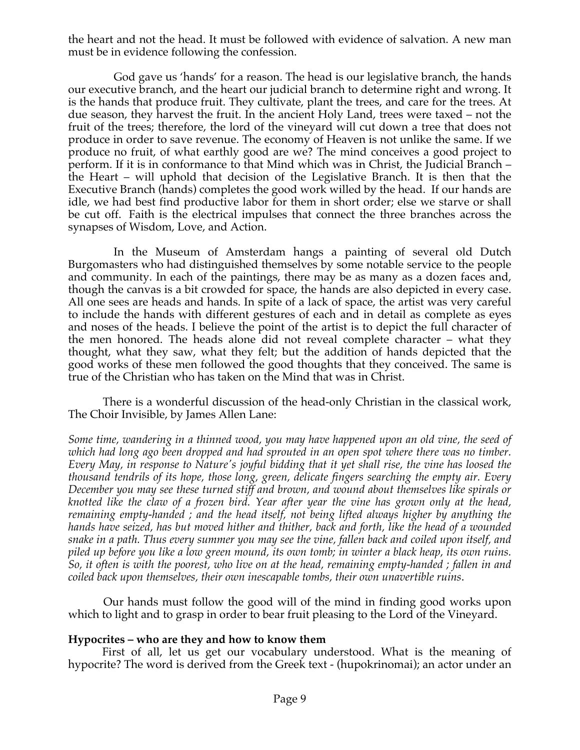the heart and not the head. It must be followed with evidence of salvation. A new man must be in evidence following the confession.

God gave us 'hands' for a reason. The head is our legislative branch, the hands our executive branch, and the heart our judicial branch to determine right and wrong. It is the hands that produce fruit. They cultivate, plant the trees, and care for the trees. At due season, they harvest the fruit. In the ancient Holy Land, trees were taxed – not the fruit of the trees; therefore, the lord of the vineyard will cut down a tree that does not produce in order to save revenue. The economy of Heaven is not unlike the same. If we produce no fruit, of what earthly good are we? The mind conceives a good project to perform. If it is in conformance to that Mind which was in Christ, the Judicial Branch – the Heart – will uphold that decision of the Legislative Branch. It is then that the Executive Branch (hands) completes the good work willed by the head. If our hands are idle, we had best find productive labor for them in short order; else we starve or shall be cut off. Faith is the electrical impulses that connect the three branches across the synapses of Wisdom, Love, and Action.

In the Museum of Amsterdam hangs a painting of several old Dutch Burgomasters who had distinguished themselves by some notable service to the people and community. In each of the paintings, there may be as many as a dozen faces and, though the canvas is a bit crowded for space, the hands are also depicted in every case. All one sees are heads and hands. In spite of a lack of space, the artist was very careful to include the hands with different gestures of each and in detail as complete as eyes and noses of the heads. I believe the point of the artist is to depict the full character of the men honored. The heads alone did not reveal complete character – what they thought, what they saw, what they felt; but the addition of hands depicted that the good works of these men followed the good thoughts that they conceived. The same is true of the Christian who has taken on the Mind that was in Christ.

 There is a wonderful discussion of the head-only Christian in the classical work, The Choir Invisible, by James Allen Lane:

*Some time, wandering in a thinned wood, you may have happened upon an old vine, the seed of which had long ago been dropped and had sprouted in an open spot where there was no timber. Every May, in response to Nature's joyful bidding that it yet shall rise, the vine has loosed the thousand tendrils of its hope, those long, green, delicate fingers searching the empty air. Every December you may see these turned stiff and brown, and wound about themselves like spirals or knotted like the claw of a frozen bird. Year after year the vine has grown only at the head, remaining empty-handed ; and the head itself, not being lifted always higher by anything the hands have seized, has but moved hither and thither, back and forth, like the head of a wounded snake in a path. Thus every summer you may see the vine, fallen back and coiled upon itself, and piled up before you like a low green mound, its own tomb; in winter a black heap, its own ruins. So, it often is with the poorest, who live on at the head, remaining empty-handed ; fallen in and coiled back upon themselves, their own inescapable tombs, their own unavertible ruins*.

 Our hands must follow the good will of the mind in finding good works upon which to light and to grasp in order to bear fruit pleasing to the Lord of the Vineyard.

## **Hypocrites – who are they and how to know them**

First of all, let us get our vocabulary understood. What is the meaning of hypocrite? The word is derived from the Greek text - (hupokrinomai); an actor under an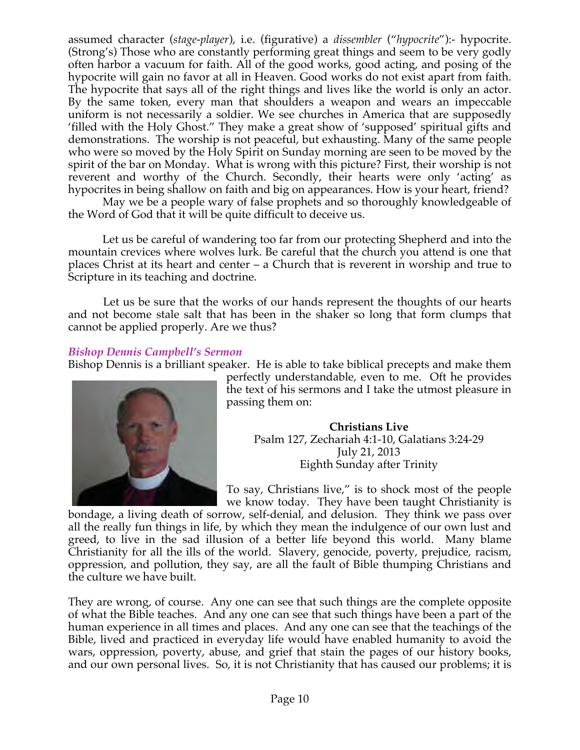assumed character (*stage-player*), i.e. (figurative) a *dissembler* ("*hypocrite*"):- hypocrite. (Strong's) Those who are constantly performing great things and seem to be very godly often harbor a vacuum for faith. All of the good works, good acting, and posing of the hypocrite will gain no favor at all in Heaven. Good works do not exist apart from faith. The hypocrite that says all of the right things and lives like the world is only an actor. By the same token, every man that shoulders a weapon and wears an impeccable uniform is not necessarily a soldier. We see churches in America that are supposedly 'filled with the Holy Ghost." They make a great show of 'supposed' spiritual gifts and demonstrations. The worship is not peaceful, but exhausting. Many of the same people who were so moved by the Holy Spirit on Sunday morning are seen to be moved by the spirit of the bar on Monday. What is wrong with this picture? First, their worship is not reverent and worthy of the Church. Secondly, their hearts were only 'acting' as hypocrites in being shallow on faith and big on appearances. How is your heart, friend?

 May we be a people wary of false prophets and so thoroughly knowledgeable of the Word of God that it will be quite difficult to deceive us.

 Let us be careful of wandering too far from our protecting Shepherd and into the mountain crevices where wolves lurk. Be careful that the church you attend is one that places Christ at its heart and center – a Church that is reverent in worship and true to Scripture in its teaching and doctrine.

 Let us be sure that the works of our hands represent the thoughts of our hearts and not become stale salt that has been in the shaker so long that form clumps that cannot be applied properly. Are we thus?

### *Bishop Dennis Campbell's Sermon*

Bishop Dennis is a brilliant speaker. He is able to take biblical precepts and make them



perfectly understandable, even to me. Oft he provides the text of his sermons and I take the utmost pleasure in passing them on:

**Christians Live** Psalm 127, Zechariah 4:1-10, Galatians 3:24-29 July 21, 2013 Eighth Sunday after Trinity

To say, Christians live," is to shock most of the people we know today. They have been taught Christianity is

bondage, a living death of sorrow, self-denial, and delusion. They think we pass over all the really fun things in life, by which they mean the indulgence of our own lust and greed, to live in the sad illusion of a better life beyond this world. Many blame Christianity for all the ills of the world. Slavery, genocide, poverty, prejudice, racism, oppression, and pollution, they say, are all the fault of Bible thumping Christians and the culture we have built.

They are wrong, of course. Any one can see that such things are the complete opposite of what the Bible teaches. And any one can see that such things have been a part of the human experience in all times and places. And any one can see that the teachings of the Bible, lived and practiced in everyday life would have enabled humanity to avoid the wars, oppression, poverty, abuse, and grief that stain the pages of our history books, and our own personal lives. So, it is not Christianity that has caused our problems; it is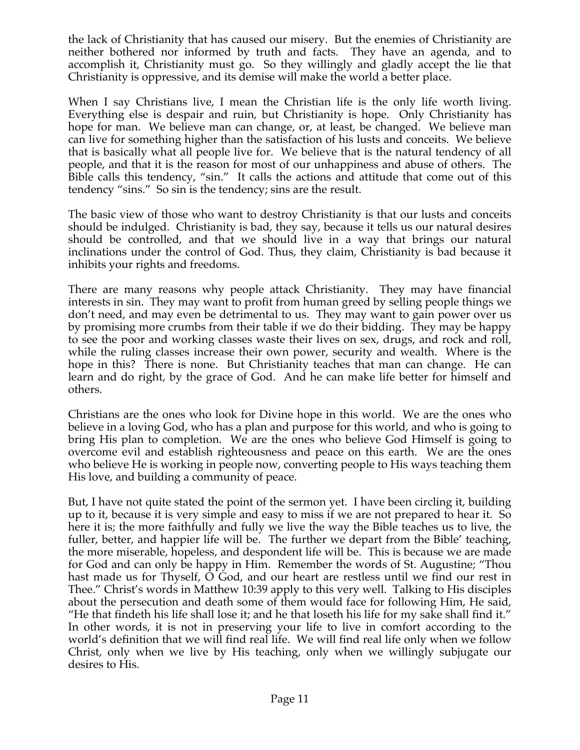the lack of Christianity that has caused our misery. But the enemies of Christianity are neither bothered nor informed by truth and facts. They have an agenda, and to accomplish it, Christianity must go. So they willingly and gladly accept the lie that Christianity is oppressive, and its demise will make the world a better place.

When I say Christians live, I mean the Christian life is the only life worth living. Everything else is despair and ruin, but Christianity is hope. Only Christianity has hope for man. We believe man can change, or, at least, be changed. We believe man can live for something higher than the satisfaction of his lusts and conceits. We believe that is basically what all people live for. We believe that is the natural tendency of all people, and that it is the reason for most of our unhappiness and abuse of others. The Bible calls this tendency, "sin." It calls the actions and attitude that come out of this tendency "sins." So sin is the tendency; sins are the result.

The basic view of those who want to destroy Christianity is that our lusts and conceits should be indulged. Christianity is bad, they say, because it tells us our natural desires should be controlled, and that we should live in a way that brings our natural inclinations under the control of God. Thus, they claim, Christianity is bad because it inhibits your rights and freedoms.

There are many reasons why people attack Christianity. They may have financial interests in sin. They may want to profit from human greed by selling people things we don't need, and may even be detrimental to us. They may want to gain power over us by promising more crumbs from their table if we do their bidding. They may be happy to see the poor and working classes waste their lives on sex, drugs, and rock and roll, while the ruling classes increase their own power, security and wealth. Where is the hope in this? There is none. But Christianity teaches that man can change. He can learn and do right, by the grace of God. And he can make life better for himself and others.

Christians are the ones who look for Divine hope in this world. We are the ones who believe in a loving God, who has a plan and purpose for this world, and who is going to bring His plan to completion. We are the ones who believe God Himself is going to overcome evil and establish righteousness and peace on this earth. We are the ones who believe He is working in people now, converting people to His ways teaching them His love, and building a community of peace.

But, I have not quite stated the point of the sermon yet. I have been circling it, building up to it, because it is very simple and easy to miss if we are not prepared to hear it. So here it is; the more faithfully and fully we live the way the Bible teaches us to live, the fuller, better, and happier life will be. The further we depart from the Bible' teaching, the more miserable, hopeless, and despondent life will be. This is because we are made for God and can only be happy in Him. Remember the words of St. Augustine; "Thou hast made us for Thyself, O God, and our heart are restless until we find our rest in Thee." Christ's words in Matthew 10:39 apply to this very well. Talking to His disciples about the persecution and death some of them would face for following Him, He said, "He that findeth his life shall lose it; and he that loseth his life for my sake shall find it." In other words, it is not in preserving your life to live in comfort according to the world's definition that we will find real life. We will find real life only when we follow Christ, only when we live by His teaching, only when we willingly subjugate our desires to His.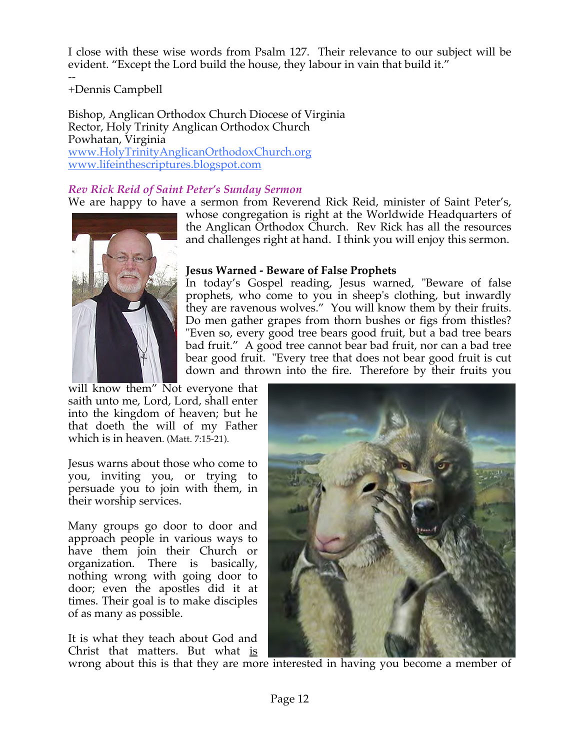I close with these wise words from Psalm 127. Their relevance to our subject will be evident. "Except the Lord build the house, they labour in vain that build it."

-- +Dennis Campbell

Bishop, Anglican Orthodox Church Diocese of Virginia Rector, Holy Trinity Anglican Orthodox Church Powhatan, Virginia www.HolyTrinityAnglicanOrthodoxChurch.org www.lifeinthescriptures.blogspot.com

## *Rev Rick Reid of Saint Peter's Sunday Sermon*

We are happy to have a sermon from Reverend Rick Reid, minister of Saint Peter's,

whose congregation is right at the Worldwide Headquarters of the Anglican Orthodox Church. Rev Rick has all the resources and challenges right at hand. I think you will enjoy this sermon.

## **Jesus Warned - Beware of False Prophets**

In today's Gospel reading, Jesus warned, "Beware of false prophets, who come to you in sheep's clothing, but inwardly they are ravenous wolves." You will know them by their fruits. Do men gather grapes from thorn bushes or figs from thistles? "Even so, every good tree bears good fruit, but a bad tree bears bad fruit." A good tree cannot bear bad fruit, nor can a bad tree bear good fruit. "Every tree that does not bear good fruit is cut down and thrown into the fire. Therefore by their fruits you

will know them" Not everyone that saith unto me, Lord, Lord, shall enter into the kingdom of heaven; but he that doeth the will of my Father which is in heaven. (Matt. 7:15-21).

Jesus warns about those who come to you, inviting you, or trying to persuade you to join with them, in their worship services.

Many groups go door to door and approach people in various ways to have them join their Church or organization. There is basically, nothing wrong with going door to door; even the apostles did it at times. Their goal is to make disciples of as many as possible.

It is what they teach about God and Christ that matters. But what is



wrong about this is that they are more interested in having you become a member of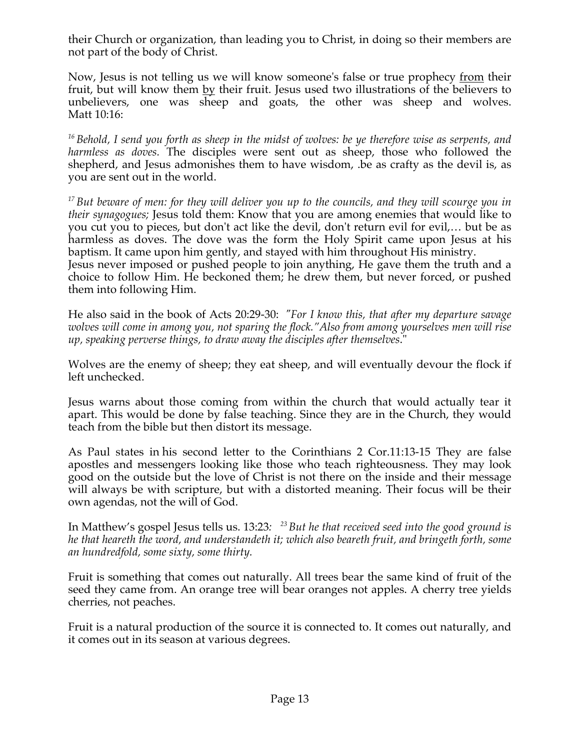their Church or organization, than leading you to Christ, in doing so their members are not part of the body of Christ.

Now, Jesus is not telling us we will know someone's false or true prophecy from their fruit, but will know them by their fruit. Jesus used two illustrations of the believers to unbelievers, one was sheep and goats, the other was sheep and wolves. Matt 10:16:

<sup>16</sup> Behold, I send you forth as sheep in the midst of wolves: be ye therefore wise as serpents, and *harmless as doves.* The disciples were sent out as sheep, those who followed the shepherd, and Jesus admonishes them to have wisdom, .be as crafty as the devil is, as you are sent out in the world.

*17But beware of men: for they will deliver you up to the councils, and they will scourge you in their synagogues;* Jesus told them: Know that you are among enemies that would like to you cut you to pieces, but don't act like the devil, don't return evil for evil,… but be as harmless as doves. The dove was the form the Holy Spirit came upon Jesus at his baptism. It came upon him gently, and stayed with him throughout His ministry.

Jesus never imposed or pushed people to join anything, He gave them the truth and a choice to follow Him. He beckoned them; he drew them, but never forced, or pushed them into following Him.

He also said in the book of Acts 20:29-30: *"For I know this, that after my departure savage wolves will come in among you, not sparing the flock."Also from among yourselves men will rise up, speaking perverse things, to draw away the disciples after themselves*."

Wolves are the enemy of sheep; they eat sheep, and will eventually devour the flock if left unchecked.

Jesus warns about those coming from within the church that would actually tear it apart. This would be done by false teaching. Since they are in the Church, they would teach from the bible but then distort its message.

As Paul states in his second letter to the Corinthians 2 Cor.11:13-15 They are false apostles and messengers looking like those who teach righteousness. They may look good on the outside but the love of Christ is not there on the inside and their message will always be with scripture, but with a distorted meaning. Their focus will be their own agendas, not the will of God.

In Matthew's gospel Jesus tells us. 13:23: <sup>23</sup> But he that received seed into the good ground is *he that heareth the word, and understandeth it; which also beareth fruit, and bringeth forth, some an hundredfold, some sixty, some thirty.*

Fruit is something that comes out naturally. All trees bear the same kind of fruit of the seed they came from. An orange tree will bear oranges not apples. A cherry tree yields cherries, not peaches.

Fruit is a natural production of the source it is connected to. It comes out naturally, and it comes out in its season at various degrees.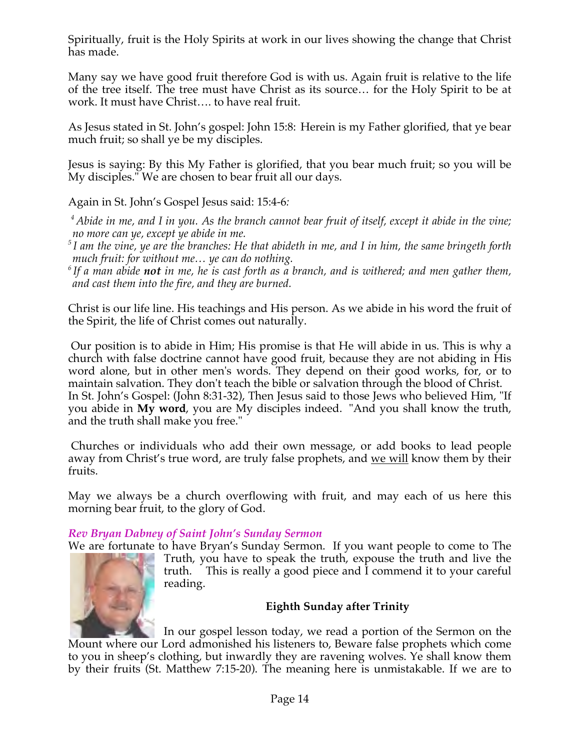Spiritually, fruit is the Holy Spirits at work in our lives showing the change that Christ has made.

Many say we have good fruit therefore God is with us. Again fruit is relative to the life of the tree itself. The tree must have Christ as its source… for the Holy Spirit to be at work. It must have Christ…. to have real fruit.

As Jesus stated in St. John's gospel: John 15:8: Herein is my Father glorified, that ye bear much fruit; so shall ye be my disciples.

Jesus is saying: By this My Father is glorified, that you bear much fruit; so you will be My disciples." We are chosen to bear fruit all our days.

Again in St. John's Gospel Jesus said: 15:4-6*:*

*<sup>4</sup> Abide in me, and I in you. As the branch cannot bear fruit of itself, except it abide in the vine; no more can ye, except ye abide in me.*

*<sup>5</sup> I am the vine, ye are the branches: He that abideth in me, and I in him, the same bringeth forth much fruit: for without me… ye can do nothing.*

*<sup>6</sup> If a man abide not in me, he is cast forth as a branch, and is withered; and men gather them, and cast them into the fire, and they are burned.*

Christ is our life line. His teachings and His person. As we abide in his word the fruit of the Spirit, the life of Christ comes out naturally.

 Our position is to abide in Him; His promise is that He will abide in us. This is why a church with false doctrine cannot have good fruit, because they are not abiding in His word alone, but in other men's words. They depend on their good works, for, or to maintain salvation. They don't teach the bible or salvation through the blood of Christ. In St. John's Gospel: (John 8:31-32), Then Jesus said to those Jews who believed Him, "If you abide in **My word**, you are My disciples indeed. "And you shall know the truth, and the truth shall make you free."

 Churches or individuals who add their own message, or add books to lead people away from Christ's true word, are truly false prophets, and we will know them by their fruits.

May we always be a church overflowing with fruit, and may each of us here this morning bear fruit, to the glory of God.

# *Rev Bryan Dabney of Saint John's Sunday Sermon*

We are fortunate to have Bryan's Sunday Sermon. If you want people to come to The



Truth, you have to speak the truth, expouse the truth and live the truth. This is really a good piece and I commend it to your careful reading.

# **Eighth Sunday after Trinity**

In our gospel lesson today, we read a portion of the Sermon on the Mount where our Lord admonished his listeners to, Beware false prophets which come to you in sheep's clothing, but inwardly they are ravening wolves. Ye shall know them by their fruits (St. Matthew 7:15-20). The meaning here is unmistakable. If we are to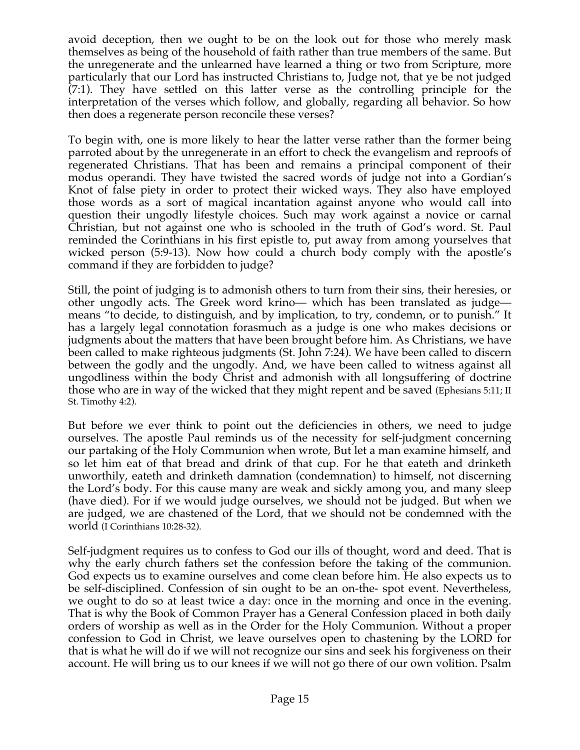avoid deception, then we ought to be on the look out for those who merely mask themselves as being of the household of faith rather than true members of the same. But the unregenerate and the unlearned have learned a thing or two from Scripture, more particularly that our Lord has instructed Christians to, Judge not, that ye be not judged (7:1). They have settled on this latter verse as the controlling principle for the interpretation of the verses which follow, and globally, regarding all behavior. So how then does a regenerate person reconcile these verses?

To begin with, one is more likely to hear the latter verse rather than the former being parroted about by the unregenerate in an effort to check the evangelism and reproofs of regenerated Christians. That has been and remains a principal component of their modus operandi. They have twisted the sacred words of judge not into a Gordian's Knot of false piety in order to protect their wicked ways. They also have employed those words as a sort of magical incantation against anyone who would call into question their ungodly lifestyle choices. Such may work against a novice or carnal Christian, but not against one who is schooled in the truth of God's word. St. Paul reminded the Corinthians in his first epistle to, put away from among yourselves that wicked person (5:9-13). Now how could a church body comply with the apostle's command if they are forbidden to judge?

Still, the point of judging is to admonish others to turn from their sins, their heresies, or other ungodly acts. The Greek word krino— which has been translated as judge means "to decide, to distinguish, and by implication, to try, condemn, or to punish." It has a largely legal connotation forasmuch as a judge is one who makes decisions or judgments about the matters that have been brought before him. As Christians, we have been called to make righteous judgments (St. John 7:24). We have been called to discern between the godly and the ungodly. And, we have been called to witness against all ungodliness within the body Christ and admonish with all longsuffering of doctrine those who are in way of the wicked that they might repent and be saved (Ephesians 5:11; II St. Timothy 4:2).

But before we ever think to point out the deficiencies in others, we need to judge ourselves. The apostle Paul reminds us of the necessity for self-judgment concerning our partaking of the Holy Communion when wrote, But let a man examine himself, and so let him eat of that bread and drink of that cup. For he that eateth and drinketh unworthily, eateth and drinketh damnation (condemnation) to himself, not discerning the Lord's body. For this cause many are weak and sickly among you, and many sleep (have died). For if we would judge ourselves, we should not be judged. But when we are judged, we are chastened of the Lord, that we should not be condemned with the world (I Corinthians 10:28-32).

Self-judgment requires us to confess to God our ills of thought, word and deed. That is why the early church fathers set the confession before the taking of the communion. God expects us to examine ourselves and come clean before him. He also expects us to be self-disciplined. Confession of sin ought to be an on-the- spot event. Nevertheless, we ought to do so at least twice a day: once in the morning and once in the evening. That is why the Book of Common Prayer has a General Confession placed in both daily orders of worship as well as in the Order for the Holy Communion. Without a proper confession to God in Christ, we leave ourselves open to chastening by the LORD for that is what he will do if we will not recognize our sins and seek his forgiveness on their account. He will bring us to our knees if we will not go there of our own volition. Psalm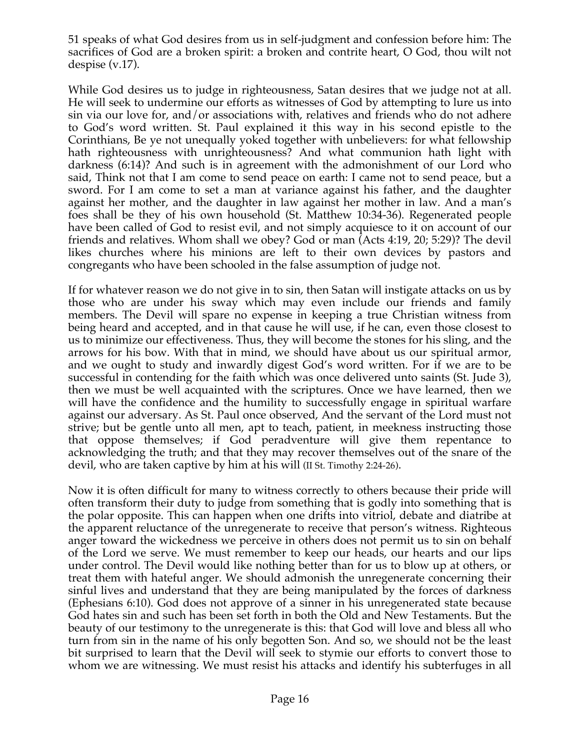51 speaks of what God desires from us in self-judgment and confession before him: The sacrifices of God are a broken spirit: a broken and contrite heart, O God, thou wilt not despise (v.17).

While God desires us to judge in righteousness, Satan desires that we judge not at all. He will seek to undermine our efforts as witnesses of God by attempting to lure us into sin via our love for, and/or associations with, relatives and friends who do not adhere to God's word written. St. Paul explained it this way in his second epistle to the Corinthians, Be ye not unequally yoked together with unbelievers: for what fellowship hath righteousness with unrighteousness? And what communion hath light with darkness (6:14)? And such is in agreement with the admonishment of our Lord who said, Think not that I am come to send peace on earth: I came not to send peace, but a sword. For I am come to set a man at variance against his father, and the daughter against her mother, and the daughter in law against her mother in law. And a man's foes shall be they of his own household (St. Matthew 10:34-36). Regenerated people have been called of God to resist evil, and not simply acquiesce to it on account of our friends and relatives. Whom shall we obey? God or man (Acts 4:19, 20; 5:29)? The devil likes churches where his minions are left to their own devices by pastors and congregants who have been schooled in the false assumption of judge not.

If for whatever reason we do not give in to sin, then Satan will instigate attacks on us by those who are under his sway which may even include our friends and family members. The Devil will spare no expense in keeping a true Christian witness from being heard and accepted, and in that cause he will use, if he can, even those closest to us to minimize our effectiveness. Thus, they will become the stones for his sling, and the arrows for his bow. With that in mind, we should have about us our spiritual armor, and we ought to study and inwardly digest God's word written. For if we are to be successful in contending for the faith which was once delivered unto saints (St. Jude 3), then we must be well acquainted with the scriptures. Once we have learned, then we will have the confidence and the humility to successfully engage in spiritual warfare against our adversary. As St. Paul once observed, And the servant of the Lord must not strive; but be gentle unto all men, apt to teach, patient, in meekness instructing those that oppose themselves; if God peradventure will give them repentance to acknowledging the truth; and that they may recover themselves out of the snare of the devil, who are taken captive by him at his will (II St. Timothy 2:24-26).

Now it is often difficult for many to witness correctly to others because their pride will often transform their duty to judge from something that is godly into something that is the polar opposite. This can happen when one drifts into vitriol, debate and diatribe at the apparent reluctance of the unregenerate to receive that person's witness. Righteous anger toward the wickedness we perceive in others does not permit us to sin on behalf of the Lord we serve. We must remember to keep our heads, our hearts and our lips under control. The Devil would like nothing better than for us to blow up at others, or treat them with hateful anger. We should admonish the unregenerate concerning their sinful lives and understand that they are being manipulated by the forces of darkness (Ephesians 6:10). God does not approve of a sinner in his unregenerated state because God hates sin and such has been set forth in both the Old and New Testaments. But the beauty of our testimony to the unregenerate is this: that God will love and bless all who turn from sin in the name of his only begotten Son. And so, we should not be the least bit surprised to learn that the Devil will seek to stymie our efforts to convert those to whom we are witnessing. We must resist his attacks and identify his subterfuges in all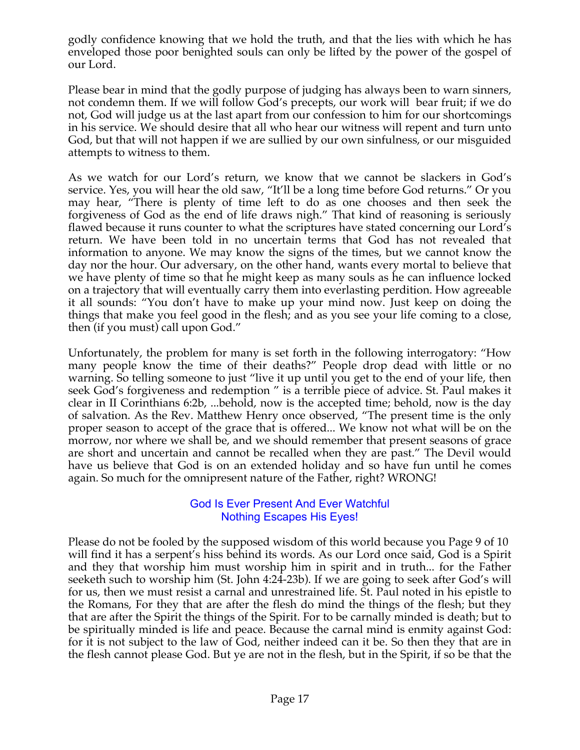godly confidence knowing that we hold the truth, and that the lies with which he has enveloped those poor benighted souls can only be lifted by the power of the gospel of our Lord.

Please bear in mind that the godly purpose of judging has always been to warn sinners, not condemn them. If we will follow God's precepts, our work will bear fruit; if we do not, God will judge us at the last apart from our confession to him for our shortcomings in his service. We should desire that all who hear our witness will repent and turn unto God, but that will not happen if we are sullied by our own sinfulness, or our misguided attempts to witness to them.

As we watch for our Lord's return, we know that we cannot be slackers in God's service. Yes, you will hear the old saw, "It'll be a long time before God returns." Or you may hear, "There is plenty of time left to do as one chooses and then seek the forgiveness of God as the end of life draws nigh." That kind of reasoning is seriously flawed because it runs counter to what the scriptures have stated concerning our Lord's return. We have been told in no uncertain terms that God has not revealed that information to anyone. We may know the signs of the times, but we cannot know the day nor the hour. Our adversary, on the other hand, wants every mortal to believe that we have plenty of time so that he might keep as many souls as he can influence locked on a trajectory that will eventually carry them into everlasting perdition. How agreeable it all sounds: "You don't have to make up your mind now. Just keep on doing the things that make you feel good in the flesh; and as you see your life coming to a close, then (if you must) call upon God."

Unfortunately, the problem for many is set forth in the following interrogatory: "How many people know the time of their deaths?" People drop dead with little or no warning. So telling someone to just "live it up until you get to the end of your life, then seek God's forgiveness and redemption " is a terrible piece of advice. St. Paul makes it clear in II Corinthians 6:2b, ...behold, now is the accepted time; behold, now is the day of salvation. As the Rev. Matthew Henry once observed, "The present time is the only proper season to accept of the grace that is offered... We know not what will be on the morrow, nor where we shall be, and we should remember that present seasons of grace are short and uncertain and cannot be recalled when they are past." The Devil would have us believe that God is on an extended holiday and so have fun until he comes again. So much for the omnipresent nature of the Father, right? WRONG!

## God Is Ever Present And Ever Watchful Nothing Escapes His Eyes!

Please do not be fooled by the supposed wisdom of this world because you Page 9 of 10 will find it has a serpent's hiss behind its words. As our Lord once said, God is a Spirit and they that worship him must worship him in spirit and in truth... for the Father seeketh such to worship him (St. John 4:24-23b). If we are going to seek after God's will for us, then we must resist a carnal and unrestrained life. St. Paul noted in his epistle to the Romans, For they that are after the flesh do mind the things of the flesh; but they that are after the Spirit the things of the Spirit. For to be carnally minded is death; but to be spiritually minded is life and peace. Because the carnal mind is enmity against God: for it is not subject to the law of God, neither indeed can it be. So then they that are in the flesh cannot please God. But ye are not in the flesh, but in the Spirit, if so be that the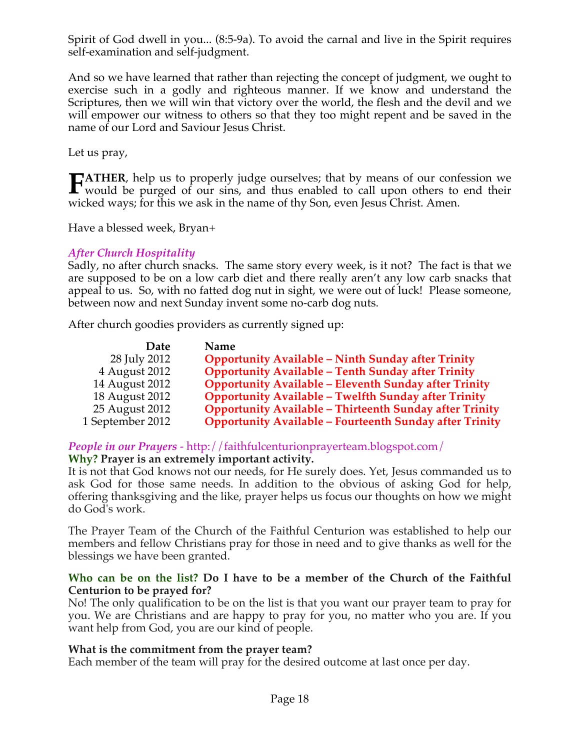Spirit of God dwell in you... (8:5-9a). To avoid the carnal and live in the Spirit requires self-examination and self-judgment.

And so we have learned that rather than rejecting the concept of judgment, we ought to exercise such in a godly and righteous manner. If we know and understand the Scriptures, then we will win that victory over the world, the flesh and the devil and we will empower our witness to others so that they too might repent and be saved in the name of our Lord and Saviour Jesus Christ.

Let us pray,

**ATHER**, help us to properly judge ourselves; that by means of our confession we **FATHER**, help us to properly judge ourselves; that by means of our confession we would be purged of our sins, and thus enabled to call upon others to end their wicked ways; for this we ask in the name of thy Son, even Jesus Christ. Amen.

Have a blessed week, Bryan+

## *After Church Hospitality*

Sadly, no after church snacks. The same story every week, is it not? The fact is that we are supposed to be on a low carb diet and there really aren't any low carb snacks that appeal to us. So, with no fatted dog nut in sight, we were out of luck! Please someone, between now and next Sunday invent some no-carb dog nuts.

After church goodies providers as currently signed up:

| Date             | Name                                                           |
|------------------|----------------------------------------------------------------|
| 28 July 2012     | <b>Opportunity Available - Ninth Sunday after Trinity</b>      |
| 4 August 2012    | <b>Opportunity Available - Tenth Sunday after Trinity</b>      |
| 14 August 2012   | <b>Opportunity Available - Eleventh Sunday after Trinity</b>   |
| 18 August 2012   | <b>Opportunity Available - Twelfth Sunday after Trinity</b>    |
| 25 August 2012   | <b>Opportunity Available - Thirteenth Sunday after Trinity</b> |
| 1 September 2012 | <b>Opportunity Available - Fourteenth Sunday after Trinity</b> |

## *People in our Prayers* - http://faithfulcenturionprayerteam.blogspot.com/

## **Why? Prayer is an extremely important activity.**

It is not that God knows not our needs, for He surely does. Yet, Jesus commanded us to ask God for those same needs. In addition to the obvious of asking God for help, offering thanksgiving and the like, prayer helps us focus our thoughts on how we might do God's work.

The Prayer Team of the Church of the Faithful Centurion was established to help our members and fellow Christians pray for those in need and to give thanks as well for the blessings we have been granted.

## **Who can be on the list? Do I have to be a member of the Church of the Faithful Centurion to be prayed for?**

No! The only qualification to be on the list is that you want our prayer team to pray for you. We are Christians and are happy to pray for you, no matter who you are. If you want help from God, you are our kind of people.

## **What is the commitment from the prayer team?**

Each member of the team will pray for the desired outcome at last once per day.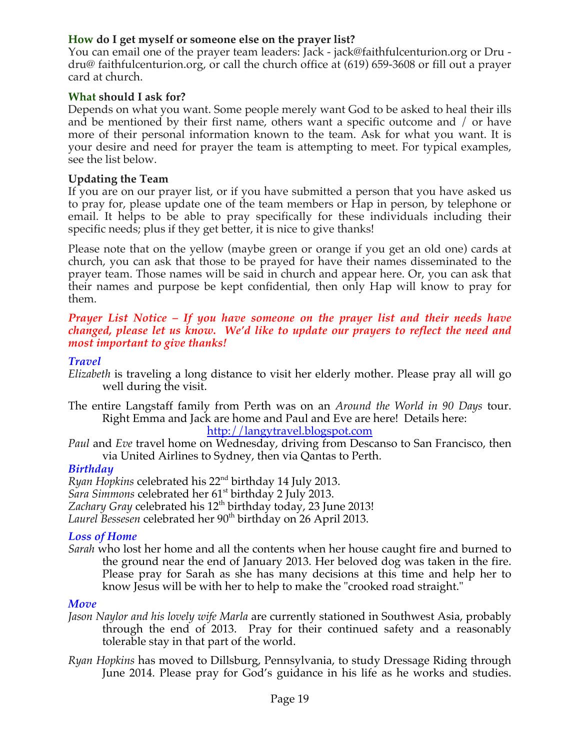## **How do I get myself or someone else on the prayer list?**

You can email one of the prayer team leaders: Jack - jack@faithfulcenturion.org or Dru dru@ faithfulcenturion.org, or call the church office at (619) 659-3608 or fill out a prayer card at church.

### **What should I ask for?**

Depends on what you want. Some people merely want God to be asked to heal their ills and be mentioned by their first name, others want a specific outcome and / or have more of their personal information known to the team. Ask for what you want. It is your desire and need for prayer the team is attempting to meet. For typical examples, see the list below.

### **Updating the Team**

If you are on our prayer list, or if you have submitted a person that you have asked us to pray for, please update one of the team members or Hap in person, by telephone or email. It helps to be able to pray specifically for these individuals including their specific needs; plus if they get better, it is nice to give thanks!

Please note that on the yellow (maybe green or orange if you get an old one) cards at church, you can ask that those to be prayed for have their names disseminated to the prayer team. Those names will be said in church and appear here. Or, you can ask that their names and purpose be kept confidential, then only Hap will know to pray for them.

#### *Prayer List Notice – If you have someone on the prayer list and their needs have changed, please let us know. We'd like to update our prayers to reflect the need and most important to give thanks!*

#### *Travel*

- *Elizabeth* is traveling a long distance to visit her elderly mother. Please pray all will go well during the visit.
- The entire Langstaff family from Perth was on an *Around the World in 90 Days* tour. Right Emma and Jack are home and Paul and Eve are here! Details here:

#### http://langytravel.blogspot.com

*Paul* and *Eve* travel home on Wednesday, driving from Descanso to San Francisco, then via United Airlines to Sydney, then via Qantas to Perth.

## *Birthday*

*Ryan Hopkins* celebrated his 22nd birthday 14 July 2013. *Sara Simmons celebrated her 61<sup>st</sup> birthday 2 July 2013.* Zachary Gray celebrated his 12<sup>th</sup> birthday today, 23 June 2013! Laurel Bessesen celebrated her 90<sup>th</sup> birthday on 26 April 2013.

## *Loss of Home*

*Sarah* who lost her home and all the contents when her house caught fire and burned to the ground near the end of January 2013. Her beloved dog was taken in the fire. Please pray for Sarah as she has many decisions at this time and help her to know Jesus will be with her to help to make the "crooked road straight."

#### *Move*

- *Jason Naylor and his lovely wife Marla* are currently stationed in Southwest Asia, probably through the end of 2013. Pray for their continued safety and a reasonably tolerable stay in that part of the world.
- *Ryan Hopkins* has moved to Dillsburg, Pennsylvania, to study Dressage Riding through June 2014. Please pray for God's guidance in his life as he works and studies.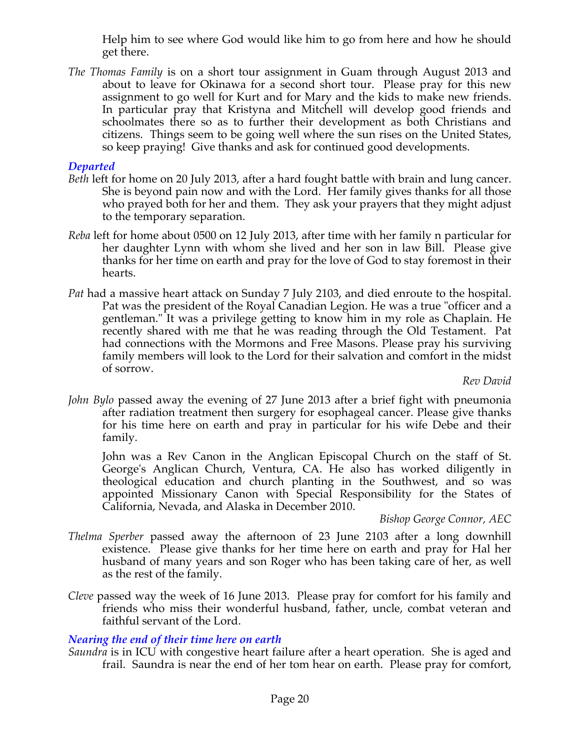Help him to see where God would like him to go from here and how he should get there.

*The Thomas Family* is on a short tour assignment in Guam through August 2013 and about to leave for Okinawa for a second short tour. Please pray for this new assignment to go well for Kurt and for Mary and the kids to make new friends. In particular pray that Kristyna and Mitchell will develop good friends and schoolmates there so as to further their development as both Christians and citizens. Things seem to be going well where the sun rises on the United States, so keep praying! Give thanks and ask for continued good developments.

## *Departed*

- *Beth* left for home on 20 July 2013, after a hard fought battle with brain and lung cancer. She is beyond pain now and with the Lord. Her family gives thanks for all those who prayed both for her and them. They ask your prayers that they might adjust to the temporary separation.
- *Reba* left for home about 0500 on 12 July 2013, after time with her family n particular for her daughter Lynn with whom she lived and her son in law Bill. Please give thanks for her time on earth and pray for the love of God to stay foremost in their hearts.
- *Pat* had a massive heart attack on Sunday 7 July 2103, and died enroute to the hospital. Pat was the president of the Royal Canadian Legion. He was a true "officer and a gentleman." It was a privilege getting to know him in my role as Chaplain. He recently shared with me that he was reading through the Old Testament. Pat had connections with the Mormons and Free Masons. Please pray his surviving family members will look to the Lord for their salvation and comfort in the midst of sorrow.

*Rev David*

*John Bylo* passed away the evening of 27 June 2013 after a brief fight with pneumonia after radiation treatment then surgery for esophageal cancer. Please give thanks for his time here on earth and pray in particular for his wife Debe and their family.

John was a Rev Canon in the Anglican Episcopal Church on the staff of St. George's Anglican Church, Ventura, CA. He also has worked diligently in theological education and church planting in the Southwest, and so was appointed Missionary Canon with Special Responsibility for the States of California, Nevada, and Alaska in December 2010.

## *Bishop George Connor, AEC*

- *Thelma Sperber* passed away the afternoon of 23 June 2103 after a long downhill existence. Please give thanks for her time here on earth and pray for Hal her husband of many years and son Roger who has been taking care of her, as well as the rest of the family.
- *Cleve* passed way the week of 16 June 2013. Please pray for comfort for his family and friends who miss their wonderful husband, father, uncle, combat veteran and faithful servant of the Lord.

## *Nearing the end of their time here on earth*

*Saundra* is in ICU with congestive heart failure after a heart operation. She is aged and frail. Saundra is near the end of her tom hear on earth. Please pray for comfort,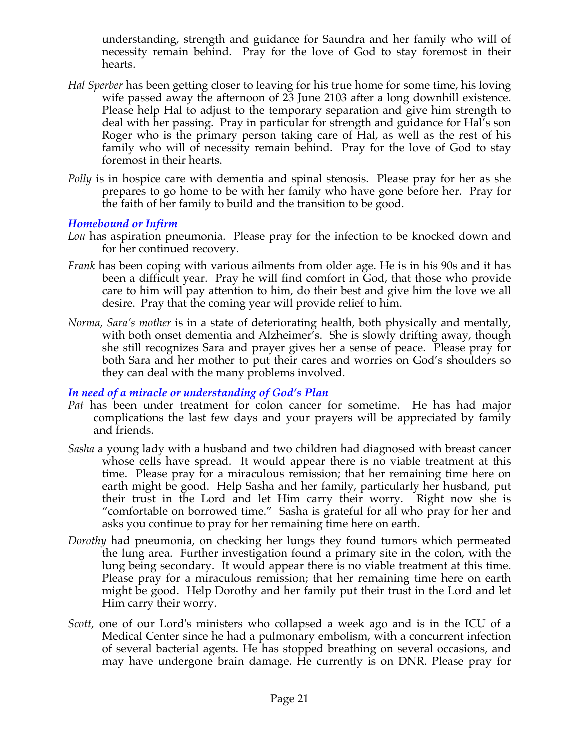understanding, strength and guidance for Saundra and her family who will of necessity remain behind. Pray for the love of God to stay foremost in their hearts.

- *Hal Sperber* has been getting closer to leaving for his true home for some time, his loving wife passed away the afternoon of 23 June 2103 after a long downhill existence. Please help Hal to adjust to the temporary separation and give him strength to deal with her passing. Pray in particular for strength and guidance for Hal's son Roger who is the primary person taking care of Hal, as well as the rest of his family who will of necessity remain behind. Pray for the love of God to stay foremost in their hearts.
- *Polly* is in hospice care with dementia and spinal stenosis. Please pray for her as she prepares to go home to be with her family who have gone before her. Pray for the faith of her family to build and the transition to be good.

## *Homebound or Infirm*

- *Lou* has aspiration pneumonia. Please pray for the infection to be knocked down and for her continued recovery.
- *Frank* has been coping with various ailments from older age. He is in his 90s and it has been a difficult year. Pray he will find comfort in God, that those who provide care to him will pay attention to him, do their best and give him the love we all desire. Pray that the coming year will provide relief to him.
- *Norma, Sara's mother* is in a state of deteriorating health, both physically and mentally, with both onset dementia and Alzheimer's. She is slowly drifting away, though she still recognizes Sara and prayer gives her a sense of peace. Please pray for both Sara and her mother to put their cares and worries on God's shoulders so they can deal with the many problems involved.

## *In need of a miracle or understanding of God's Plan*

- *Pat* has been under treatment for colon cancer for sometime. He has had major complications the last few days and your prayers will be appreciated by family and friends.
- *Sasha* a young lady with a husband and two children had diagnosed with breast cancer whose cells have spread. It would appear there is no viable treatment at this time. Please pray for a miraculous remission; that her remaining time here on earth might be good. Help Sasha and her family, particularly her husband, put their trust in the Lord and let Him carry their worry. Right now she is "comfortable on borrowed time." Sasha is grateful for all who pray for her and asks you continue to pray for her remaining time here on earth.
- *Dorothy* had pneumonia, on checking her lungs they found tumors which permeated the lung area. Further investigation found a primary site in the colon, with the lung being secondary. It would appear there is no viable treatment at this time. Please pray for a miraculous remission; that her remaining time here on earth might be good. Help Dorothy and her family put their trust in the Lord and let Him carry their worry.
- *Scott,* one of our Lord's ministers who collapsed a week ago and is in the ICU of a Medical Center since he had a pulmonary embolism, with a concurrent infection of several bacterial agents. He has stopped breathing on several occasions, and may have undergone brain damage. He currently is on DNR. Please pray for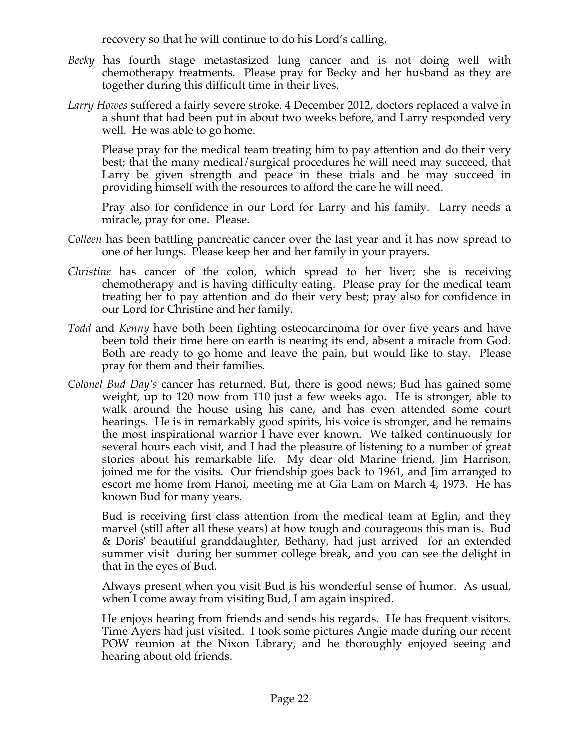recovery so that he will continue to do his Lord's calling*.*

- *Becky* has fourth stage metastasized lung cancer and is not doing well with chemotherapy treatments. Please pray for Becky and her husband as they are together during this difficult time in their lives.
- *Larry Howes* suffered a fairly severe stroke. 4 December 2012, doctors replaced a valve in a shunt that had been put in about two weeks before, and Larry responded very well. He was able to go home.

Please pray for the medical team treating him to pay attention and do their very best; that the many medical/surgical procedures he will need may succeed, that Larry be given strength and peace in these trials and he may succeed in providing himself with the resources to afford the care he will need.

Pray also for confidence in our Lord for Larry and his family. Larry needs a miracle, pray for one. Please.

- *Colleen* has been battling pancreatic cancer over the last year and it has now spread to one of her lungs. Please keep her and her family in your prayers.
- *Christine* has cancer of the colon, which spread to her liver; she is receiving chemotherapy and is having difficulty eating. Please pray for the medical team treating her to pay attention and do their very best; pray also for confidence in our Lord for Christine and her family.
- *Todd* and *Kenny* have both been fighting osteocarcinoma for over five years and have been told their time here on earth is nearing its end, absent a miracle from God. Both are ready to go home and leave the pain, but would like to stay. Please pray for them and their families.
- *Colonel Bud Day's* cancer has returned. But, there is good news; Bud has gained some weight, up to 120 now from 110 just a few weeks ago. He is stronger, able to walk around the house using his cane, and has even attended some court hearings. He is in remarkably good spirits, his voice is stronger, and he remains the most inspirational warrior I have ever known. We talked continuously for several hours each visit, and I had the pleasure of listening to a number of great stories about his remarkable life. My dear old Marine friend, Jim Harrison, joined me for the visits. Our friendship goes back to 1961, and Jim arranged to escort me home from Hanoi, meeting me at Gia Lam on March 4, 1973. He has known Bud for many years.

Bud is receiving first class attention from the medical team at Eglin, and they marvel (still after all these years) at how tough and courageous this man is. Bud & Doris' beautiful granddaughter, Bethany, had just arrived for an extended summer visit during her summer college break, and you can see the delight in that in the eyes of Bud.

Always present when you visit Bud is his wonderful sense of humor. As usual, when I come away from visiting Bud, I am again inspired.

He enjoys hearing from friends and sends his regards. He has frequent visitors. Time Ayers had just visited. I took some pictures Angie made during our recent POW reunion at the Nixon Library, and he thoroughly enjoyed seeing and hearing about old friends.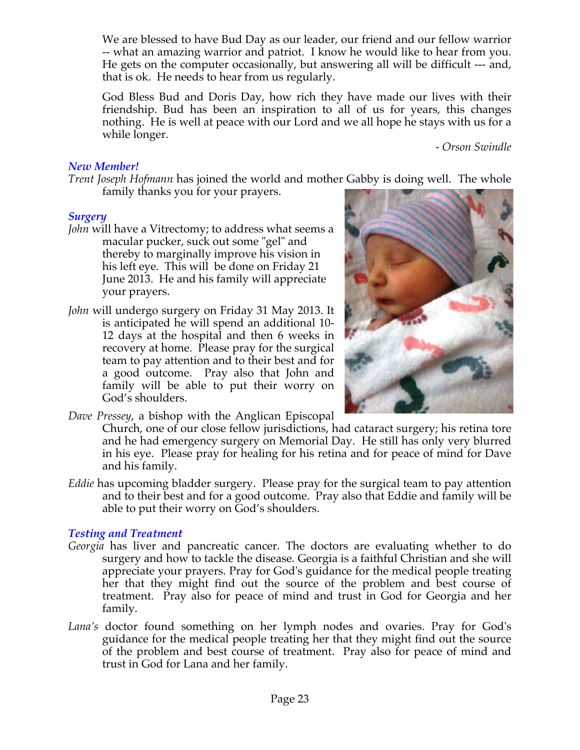We are blessed to have Bud Day as our leader, our friend and our fellow warrior -- what an amazing warrior and patriot. I know he would like to hear from you. He gets on the computer occasionally, but answering all will be difficult --- and, that is ok. He needs to hear from us regularly.

God Bless Bud and Doris Day, how rich they have made our lives with their friendship. Bud has been an inspiration to all of us for years, this changes nothing. He is well at peace with our Lord and we all hope he stays with us for a while longer.

*- Orson Swindle*

## *New Member!*

*Trent Joseph Hofmann* has joined the world and mother Gabby is doing well. The whole family thanks you for your prayers.

## *Surgery*

- *John* will have a Vitrectomy; to address what seems a macular pucker, suck out some "gel" and thereby to marginally improve his vision in his left eye. This will be done on Friday 21 June 2013. He and his family will appreciate your prayers.
- *John* will undergo surgery on Friday 31 May 2013. It is anticipated he will spend an additional 10- 12 days at the hospital and then 6 weeks in recovery at home. Please pray for the surgical team to pay attention and to their best and for a good outcome. Pray also that John and family will be able to put their worry on God's shoulders.



*Dave Pressey*, a bishop with the Anglican Episcopal

Church, one of our close fellow jurisdictions, had cataract surgery; his retina tore and he had emergency surgery on Memorial Day. He still has only very blurred in his eye. Please pray for healing for his retina and for peace of mind for Dave and his family.

*Eddie* has upcoming bladder surgery. Please pray for the surgical team to pay attention and to their best and for a good outcome. Pray also that Eddie and family will be able to put their worry on God's shoulders.

## *Testing and Treatment*

- *Georgia* has liver and pancreatic cancer. The doctors are evaluating whether to do surgery and how to tackle the disease. Georgia is a faithful Christian and she will appreciate your prayers. Pray for God's guidance for the medical people treating her that they might find out the source of the problem and best course of treatment. Pray also for peace of mind and trust in God for Georgia and her family.
- *Lana's* doctor found something on her lymph nodes and ovaries. Pray for God's guidance for the medical people treating her that they might find out the source of the problem and best course of treatment. Pray also for peace of mind and trust in God for Lana and her family.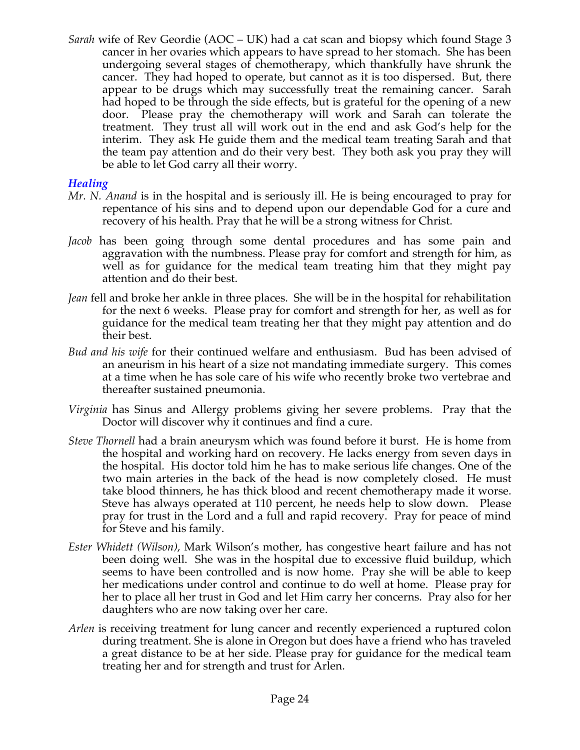*Sarah* wife of Rev Geordie (AOC – UK) had a cat scan and biopsy which found Stage 3 cancer in her ovaries which appears to have spread to her stomach. She has been undergoing several stages of chemotherapy, which thankfully have shrunk the cancer. They had hoped to operate, but cannot as it is too dispersed. But, there appear to be drugs which may successfully treat the remaining cancer. Sarah had hoped to be through the side effects, but is grateful for the opening of a new door. Please pray the chemotherapy will work and Sarah can tolerate the treatment. They trust all will work out in the end and ask God's help for the interim. They ask He guide them and the medical team treating Sarah and that the team pay attention and do their very best. They both ask you pray they will be able to let God carry all their worry.

## *Healing*

- *Mr. N. Anand* is in the hospital and is seriously ill. He is being encouraged to pray for repentance of his sins and to depend upon our dependable God for a cure and recovery of his health. Pray that he will be a strong witness for Christ.
- *Jacob* has been going through some dental procedures and has some pain and aggravation with the numbness. Please pray for comfort and strength for him, as well as for guidance for the medical team treating him that they might pay attention and do their best.
- *Jean* fell and broke her ankle in three places. She will be in the hospital for rehabilitation for the next 6 weeks. Please pray for comfort and strength for her, as well as for guidance for the medical team treating her that they might pay attention and do their best.
- *Bud and his wife* for their continued welfare and enthusiasm. Bud has been advised of an aneurism in his heart of a size not mandating immediate surgery. This comes at a time when he has sole care of his wife who recently broke two vertebrae and thereafter sustained pneumonia.
- *Virginia* has Sinus and Allergy problems giving her severe problems. Pray that the Doctor will discover why it continues and find a cure.
- *Steve Thornell* had a brain aneurysm which was found before it burst. He is home from the hospital and working hard on recovery. He lacks energy from seven days in the hospital. His doctor told him he has to make serious life changes. One of the two main arteries in the back of the head is now completely closed. He must take blood thinners, he has thick blood and recent chemotherapy made it worse. Steve has always operated at 110 percent, he needs help to slow down. Please pray for trust in the Lord and a full and rapid recovery. Pray for peace of mind for Steve and his family.
- *Ester Whidett (Wilson)*, Mark Wilson's mother, has congestive heart failure and has not been doing well. She was in the hospital due to excessive fluid buildup, which seems to have been controlled and is now home. Pray she will be able to keep her medications under control and continue to do well at home. Please pray for her to place all her trust in God and let Him carry her concerns. Pray also for her daughters who are now taking over her care.
- *Arlen* is receiving treatment for lung cancer and recently experienced a ruptured colon during treatment. She is alone in Oregon but does have a friend who has traveled a great distance to be at her side. Please pray for guidance for the medical team treating her and for strength and trust for Arlen.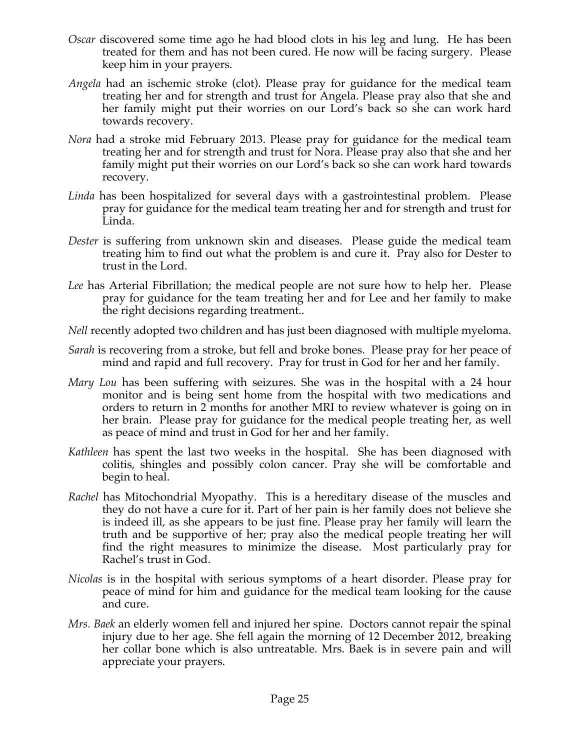- *Oscar* discovered some time ago he had blood clots in his leg and lung. He has been treated for them and has not been cured. He now will be facing surgery. Please keep him in your prayers.
- *Angela* had an ischemic stroke (clot). Please pray for guidance for the medical team treating her and for strength and trust for Angela. Please pray also that she and her family might put their worries on our Lord's back so she can work hard towards recovery.
- *Nora* had a stroke mid February 2013. Please pray for guidance for the medical team treating her and for strength and trust for Nora. Please pray also that she and her family might put their worries on our Lord's back so she can work hard towards recovery.
- *Linda* has been hospitalized for several days with a gastrointestinal problem. Please pray for guidance for the medical team treating her and for strength and trust for Linda.
- *Dester* is suffering from unknown skin and diseases. Please guide the medical team treating him to find out what the problem is and cure it. Pray also for Dester to trust in the Lord.
- *Lee* has Arterial Fibrillation; the medical people are not sure how to help her. Please pray for guidance for the team treating her and for Lee and her family to make the right decisions regarding treatment..
- *Nell* recently adopted two children and has just been diagnosed with multiple myeloma.
- *Sarah* is recovering from a stroke, but fell and broke bones. Please pray for her peace of mind and rapid and full recovery. Pray for trust in God for her and her family.
- *Mary Lou* has been suffering with seizures. She was in the hospital with a 24 hour monitor and is being sent home from the hospital with two medications and orders to return in 2 months for another MRI to review whatever is going on in her brain. Please pray for guidance for the medical people treating her, as well as peace of mind and trust in God for her and her family.
- *Kathleen* has spent the last two weeks in the hospital. She has been diagnosed with colitis, shingles and possibly colon cancer. Pray she will be comfortable and begin to heal.
- *Rachel* has Mitochondrial Myopathy. This is a hereditary disease of the muscles and they do not have a cure for it. Part of her pain is her family does not believe she is indeed ill, as she appears to be just fine. Please pray her family will learn the truth and be supportive of her; pray also the medical people treating her will find the right measures to minimize the disease. Most particularly pray for Rachel's trust in God.
- *Nicolas* is in the hospital with serious symptoms of a heart disorder. Please pray for peace of mind for him and guidance for the medical team looking for the cause and cure.
- *Mrs. Baek* an elderly women fell and injured her spine. Doctors cannot repair the spinal injury due to her age. She fell again the morning of 12 December 2012, breaking her collar bone which is also untreatable. Mrs. Baek is in severe pain and will appreciate your prayers.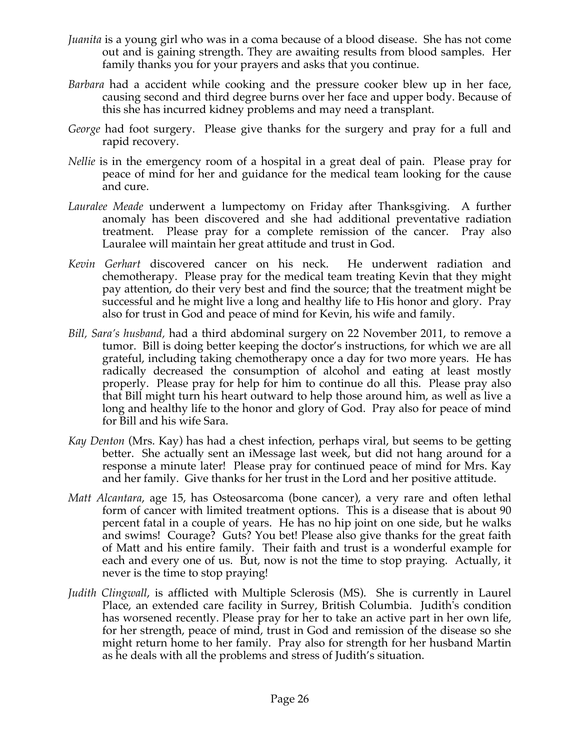- *Juanita* is a young girl who was in a coma because of a blood disease. She has not come out and is gaining strength. They are awaiting results from blood samples. Her family thanks you for your prayers and asks that you continue.
- *Barbara* had a accident while cooking and the pressure cooker blew up in her face, causing second and third degree burns over her face and upper body. Because of this she has incurred kidney problems and may need a transplant.
- *George* had foot surgery. Please give thanks for the surgery and pray for a full and rapid recovery.
- *Nellie* is in the emergency room of a hospital in a great deal of pain. Please pray for peace of mind for her and guidance for the medical team looking for the cause and cure.
- *Lauralee Meade* underwent a lumpectomy on Friday after Thanksgiving. A further anomaly has been discovered and she had additional preventative radiation treatment. Please pray for a complete remission of the cancer. Pray also Lauralee will maintain her great attitude and trust in God.
- *Kevin Gerhart* discovered cancer on his neck. He underwent radiation and chemotherapy. Please pray for the medical team treating Kevin that they might pay attention, do their very best and find the source; that the treatment might be successful and he might live a long and healthy life to His honor and glory. Pray also for trust in God and peace of mind for Kevin, his wife and family.
- *Bill, Sara's husband,* had a third abdominal surgery on 22 November 2011, to remove a tumor. Bill is doing better keeping the doctor's instructions, for which we are all grateful, including taking chemotherapy once a day for two more years. He has radically decreased the consumption of alcohol and eating at least mostly properly. Please pray for help for him to continue do all this. Please pray also that Bill might turn his heart outward to help those around him, as well as live a long and healthy life to the honor and glory of God. Pray also for peace of mind for Bill and his wife Sara.
- *Kay Denton* (Mrs. Kay) has had a chest infection, perhaps viral, but seems to be getting better. She actually sent an iMessage last week, but did not hang around for a response a minute later! Please pray for continued peace of mind for Mrs. Kay and her family. Give thanks for her trust in the Lord and her positive attitude.
- *Matt Alcantara*, age 15, has Osteosarcoma (bone cancer), a very rare and often lethal form of cancer with limited treatment options. This is a disease that is about 90 percent fatal in a couple of years. He has no hip joint on one side, but he walks and swims! Courage? Guts? You bet! Please also give thanks for the great faith of Matt and his entire family. Their faith and trust is a wonderful example for each and every one of us. But, now is not the time to stop praying. Actually, it never is the time to stop praying!
- *Judith Clingwall*, is afflicted with Multiple Sclerosis (MS). She is currently in Laurel Place, an extended care facility in Surrey, British Columbia. Judith's condition has worsened recently. Please pray for her to take an active part in her own life, for her strength, peace of mind, trust in God and remission of the disease so she might return home to her family. Pray also for strength for her husband Martin as he deals with all the problems and stress of Judith's situation.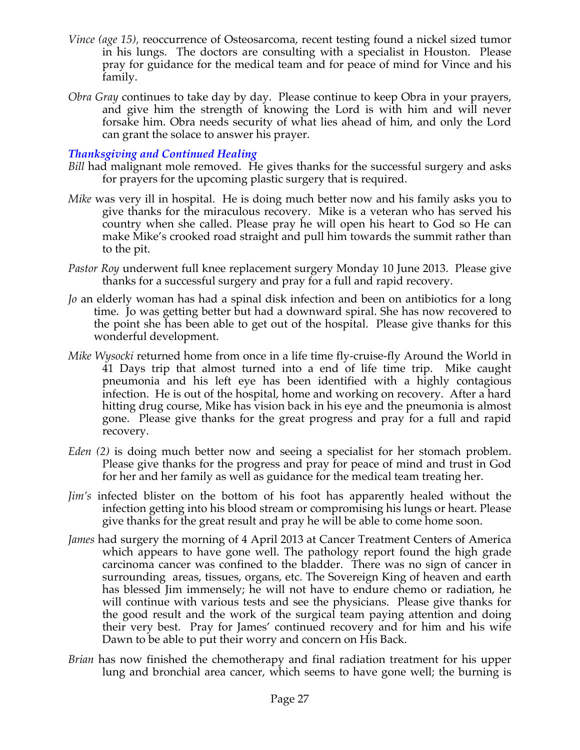- *Vince (age 15),* reoccurrence of Osteosarcoma, recent testing found a nickel sized tumor in his lungs. The doctors are consulting with a specialist in Houston. Please pray for guidance for the medical team and for peace of mind for Vince and his family.
- *Obra Gray* continues to take day by day. Please continue to keep Obra in your prayers, and give him the strength of knowing the Lord is with him and will never forsake him. Obra needs security of what lies ahead of him, and only the Lord can grant the solace to answer his prayer.

## *Thanksgiving and Continued Healing*

- *Bill* had malignant mole removed. He gives thanks for the successful surgery and asks for prayers for the upcoming plastic surgery that is required.
- *Mike* was very ill in hospital. He is doing much better now and his family asks you to give thanks for the miraculous recovery. Mike is a veteran who has served his country when she called. Please pray he will open his heart to God so He can make Mike's crooked road straight and pull him towards the summit rather than to the pit.
- *Pastor Roy* underwent full knee replacement surgery Monday 10 June 2013. Please give thanks for a successful surgery and pray for a full and rapid recovery.
- *Jo* an elderly woman has had a spinal disk infection and been on antibiotics for a long time. Jo was getting better but had a downward spiral. She has now recovered to the point she has been able to get out of the hospital. Please give thanks for this wonderful development.
- *Mike Wysocki* returned home from once in a life time fly-cruise-fly Around the World in 41 Days trip that almost turned into a end of life time trip. Mike caught pneumonia and his left eye has been identified with a highly contagious infection. He is out of the hospital, home and working on recovery. After a hard hitting drug course, Mike has vision back in his eye and the pneumonia is almost gone. Please give thanks for the great progress and pray for a full and rapid recovery.
- *Eden (2)* is doing much better now and seeing a specialist for her stomach problem. Please give thanks for the progress and pray for peace of mind and trust in God for her and her family as well as guidance for the medical team treating her.
- *Jim's* infected blister on the bottom of his foot has apparently healed without the infection getting into his blood stream or compromising his lungs or heart. Please give thanks for the great result and pray he will be able to come home soon.
- *James* had surgery the morning of 4 April 2013 at Cancer Treatment Centers of America which appears to have gone well. The pathology report found the high grade carcinoma cancer was confined to the bladder. There was no sign of cancer in surrounding areas, tissues, organs, etc. The Sovereign King of heaven and earth has blessed Jim immensely; he will not have to endure chemo or radiation, he will continue with various tests and see the physicians. Please give thanks for the good result and the work of the surgical team paying attention and doing their very best. Pray for James' continued recovery and for him and his wife Dawn to be able to put their worry and concern on His Back.
- *Brian* has now finished the chemotherapy and final radiation treatment for his upper lung and bronchial area cancer, which seems to have gone well; the burning is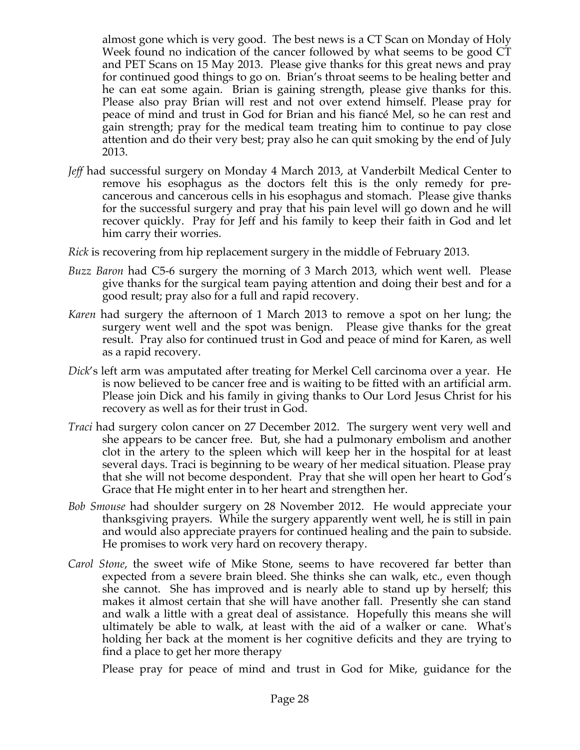almost gone which is very good. The best news is a CT Scan on Monday of Holy Week found no indication of the cancer followed by what seems to be good CT and PET Scans on 15 May 2013. Please give thanks for this great news and pray for continued good things to go on. Brian's throat seems to be healing better and he can eat some again. Brian is gaining strength, please give thanks for this. Please also pray Brian will rest and not over extend himself. Please pray for peace of mind and trust in God for Brian and his fiancé Mel, so he can rest and gain strength; pray for the medical team treating him to continue to pay close attention and do their very best; pray also he can quit smoking by the end of July 2013.

- *Jeff* had successful surgery on Monday 4 March 2013, at Vanderbilt Medical Center to remove his esophagus as the doctors felt this is the only remedy for precancerous and cancerous cells in his esophagus and stomach. Please give thanks for the successful surgery and pray that his pain level will go down and he will recover quickly. Pray for Jeff and his family to keep their faith in God and let him carry their worries.
- *Rick* is recovering from hip replacement surgery in the middle of February 2013.
- *Buzz Baron* had C5-6 surgery the morning of 3 March 2013, which went well. Please give thanks for the surgical team paying attention and doing their best and for a good result; pray also for a full and rapid recovery.
- *Karen* had surgery the afternoon of 1 March 2013 to remove a spot on her lung; the surgery went well and the spot was benign. Please give thanks for the great result. Pray also for continued trust in God and peace of mind for Karen, as well as a rapid recovery.
- *Dick*'s left arm was amputated after treating for Merkel Cell carcinoma over a year. He is now believed to be cancer free and is waiting to be fitted with an artificial arm. Please join Dick and his family in giving thanks to Our Lord Jesus Christ for his recovery as well as for their trust in God.
- *Traci* had surgery colon cancer on 27 December 2012. The surgery went very well and she appears to be cancer free. But, she had a pulmonary embolism and another clot in the artery to the spleen which will keep her in the hospital for at least several days. Traci is beginning to be weary of her medical situation. Please pray that she will not become despondent. Pray that she will open her heart to God's Grace that He might enter in to her heart and strengthen her.
- *Bob Smouse* had shoulder surgery on 28 November 2012. He would appreciate your thanksgiving prayers. While the surgery apparently went well, he is still in pain and would also appreciate prayers for continued healing and the pain to subside. He promises to work very hard on recovery therapy.
- *Carol Stone*, the sweet wife of Mike Stone, seems to have recovered far better than expected from a severe brain bleed. She thinks she can walk, etc., even though she cannot. She has improved and is nearly able to stand up by herself; this makes it almost certain that she will have another fall. Presently she can stand and walk a little with a great deal of assistance. Hopefully this means she will ultimately be able to walk, at least with the aid of a walker or cane. What's holding her back at the moment is her cognitive deficits and they are trying to find a place to get her more therapy

Please pray for peace of mind and trust in God for Mike, guidance for the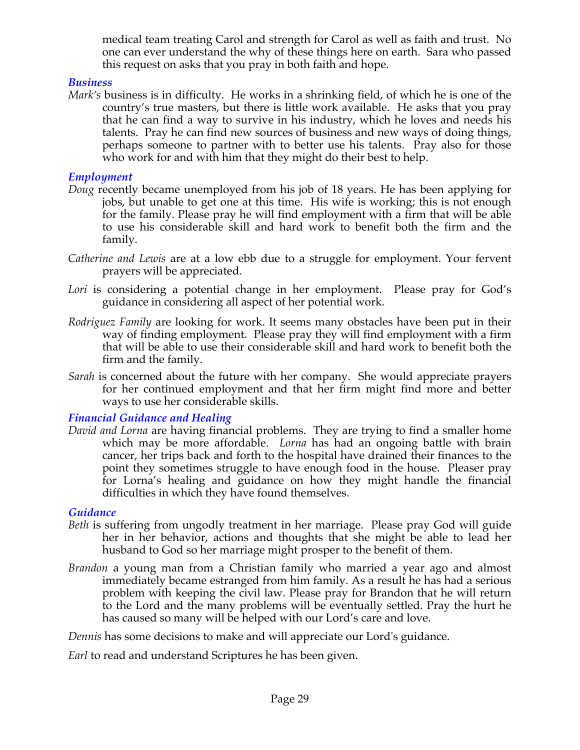medical team treating Carol and strength for Carol as well as faith and trust. No one can ever understand the why of these things here on earth. Sara who passed this request on asks that you pray in both faith and hope.

## *Business*

*Mark's* business is in difficulty. He works in a shrinking field, of which he is one of the country's true masters, but there is little work available. He asks that you pray that he can find a way to survive in his industry, which he loves and needs his talents. Pray he can find new sources of business and new ways of doing things, perhaps someone to partner with to better use his talents. Pray also for those who work for and with him that they might do their best to help.

## *Employment*

- *Doug* recently became unemployed from his job of 18 years. He has been applying for jobs, but unable to get one at this time. His wife is working; this is not enough for the family. Please pray he will find employment with a firm that will be able to use his considerable skill and hard work to benefit both the firm and the family.
- *Catherine and Lewis* are at a low ebb due to a struggle for employment. Your fervent prayers will be appreciated.
- Lori is considering a potential change in her employment. Please pray for God's guidance in considering all aspect of her potential work.
- *Rodriguez Family* are looking for work. It seems many obstacles have been put in their way of finding employment. Please pray they will find employment with a firm that will be able to use their considerable skill and hard work to benefit both the firm and the family.
- *Sarah* is concerned about the future with her company. She would appreciate prayers for her continued employment and that her firm might find more and better ways to use her considerable skills.

## *Financial Guidance and Healing*

*David and Lorna* are having financial problems. They are trying to find a smaller home which may be more affordable. *Lorna* has had an ongoing battle with brain cancer, her trips back and forth to the hospital have drained their finances to the point they sometimes struggle to have enough food in the house. Pleaser pray for Lorna's healing and guidance on how they might handle the financial difficulties in which they have found themselves.

## *Guidance*

- *Beth* is suffering from ungodly treatment in her marriage. Please pray God will guide her in her behavior, actions and thoughts that she might be able to lead her husband to God so her marriage might prosper to the benefit of them.
- *Brandon* a young man from a Christian family who married a year ago and almost immediately became estranged from him family. As a result he has had a serious problem with keeping the civil law. Please pray for Brandon that he will return to the Lord and the many problems will be eventually settled. Pray the hurt he has caused so many will be helped with our Lord's care and love.

*Dennis* has some decisions to make and will appreciate our Lord's guidance.

*Earl* to read and understand Scriptures he has been given.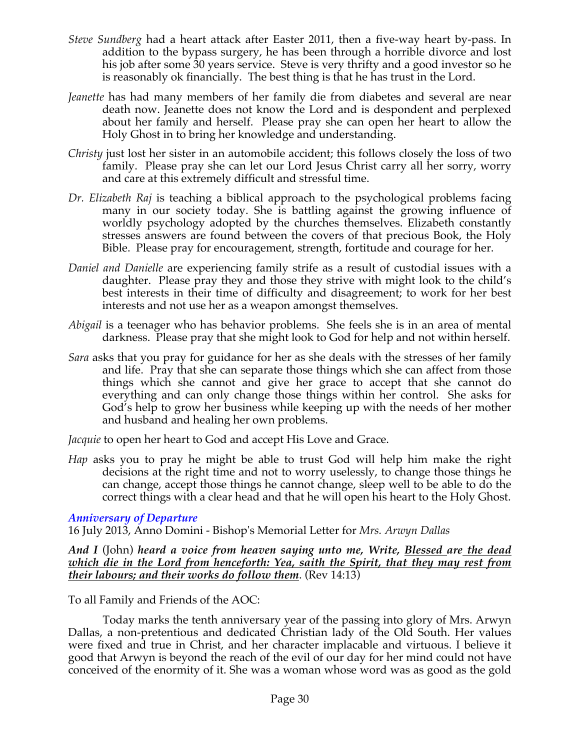- *Steve Sundberg* had a heart attack after Easter 2011, then a five-way heart by-pass. In addition to the bypass surgery, he has been through a horrible divorce and lost his job after some 30 years service. Steve is very thrifty and a good investor so he is reasonably ok financially. The best thing is that he has trust in the Lord.
- *Jeanette* has had many members of her family die from diabetes and several are near death now. Jeanette does not know the Lord and is despondent and perplexed about her family and herself. Please pray she can open her heart to allow the Holy Ghost in to bring her knowledge and understanding.
- *Christy* just lost her sister in an automobile accident; this follows closely the loss of two family. Please pray she can let our Lord Jesus Christ carry all her sorry, worry and care at this extremely difficult and stressful time.
- *Dr. Elizabeth Raj* is teaching a biblical approach to the psychological problems facing many in our society today. She is battling against the growing influence of worldly psychology adopted by the churches themselves. Elizabeth constantly stresses answers are found between the covers of that precious Book, the Holy Bible. Please pray for encouragement, strength, fortitude and courage for her.
- *Daniel and Danielle* are experiencing family strife as a result of custodial issues with a daughter. Please pray they and those they strive with might look to the child's best interests in their time of difficulty and disagreement; to work for her best interests and not use her as a weapon amongst themselves.
- *Abigail* is a teenager who has behavior problems. She feels she is in an area of mental darkness. Please pray that she might look to God for help and not within herself.
- *Sara* asks that you pray for guidance for her as she deals with the stresses of her family and life. Pray that she can separate those things which she can affect from those things which she cannot and give her grace to accept that she cannot do everything and can only change those things within her control. She asks for God's help to grow her business while keeping up with the needs of her mother and husband and healing her own problems.

*Jacquie* to open her heart to God and accept His Love and Grace.

*Hap* asks you to pray he might be able to trust God will help him make the right decisions at the right time and not to worry uselessly, to change those things he can change, accept those things he cannot change, sleep well to be able to do the correct things with a clear head and that he will open his heart to the Holy Ghost.

## *Anniversary of Departure*

16 July 2013, Anno Domini - Bishop's Memorial Letter for *Mrs. Arwyn Dallas*

### *And I* (John) *heard a voice from heaven saying unto me, Write, Blessed are the dead which die in the Lord from henceforth: Yea, saith the Spirit, that they may rest from their labours; and their works do follow them*. (Rev 14:13)

To all Family and Friends of the AOC:

 Today marks the tenth anniversary year of the passing into glory of Mrs. Arwyn Dallas, a non-pretentious and dedicated Christian lady of the Old South. Her values were fixed and true in Christ, and her character implacable and virtuous. I believe it good that Arwyn is beyond the reach of the evil of our day for her mind could not have conceived of the enormity of it. She was a woman whose word was as good as the gold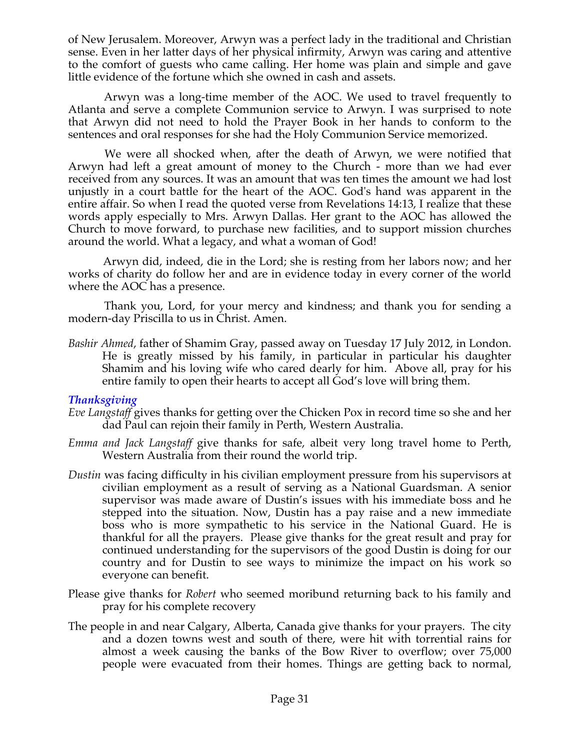of New Jerusalem. Moreover, Arwyn was a perfect lady in the traditional and Christian sense. Even in her latter days of her physical infirmity, Arwyn was caring and attentive to the comfort of guests who came calling. Her home was plain and simple and gave little evidence of the fortune which she owned in cash and assets.

 Arwyn was a long-time member of the AOC. We used to travel frequently to Atlanta and serve a complete Communion service to Arwyn. I was surprised to note that Arwyn did not need to hold the Prayer Book in her hands to conform to the sentences and oral responses for she had the Holy Communion Service memorized.

 We were all shocked when, after the death of Arwyn, we were notified that Arwyn had left a great amount of money to the Church - more than we had ever received from any sources. It was an amount that was ten times the amount we had lost unjustly in a court battle for the heart of the AOC. God's hand was apparent in the entire affair. So when I read the quoted verse from Revelations 14:13, I realize that these words apply especially to Mrs. Arwyn Dallas. Her grant to the AOC has allowed the Church to move forward, to purchase new facilities, and to support mission churches around the world. What a legacy, and what a woman of God!

 Arwyn did, indeed, die in the Lord; she is resting from her labors now; and her works of charity do follow her and are in evidence today in every corner of the world where the AOC has a presence.

 Thank you, Lord, for your mercy and kindness; and thank you for sending a modern-day Priscilla to us in Christ. Amen.

*Bashir Ahmed*, father of Shamim Gray, passed away on Tuesday 17 July 2012, in London. He is greatly missed by his family, in particular in particular his daughter Shamim and his loving wife who cared dearly for him. Above all, pray for his entire family to open their hearts to accept all God's love will bring them.

## *Thanksgiving*

- *Eve Langstaff* gives thanks for getting over the Chicken Pox in record time so she and her dad Paul can rejoin their family in Perth, Western Australia.
- *Emma and Jack Langstaff* give thanks for safe, albeit very long travel home to Perth, Western Australia from their round the world trip.
- *Dustin* was facing difficulty in his civilian employment pressure from his supervisors at civilian employment as a result of serving as a National Guardsman. A senior supervisor was made aware of Dustin's issues with his immediate boss and he stepped into the situation. Now, Dustin has a pay raise and a new immediate boss who is more sympathetic to his service in the National Guard. He is thankful for all the prayers. Please give thanks for the great result and pray for continued understanding for the supervisors of the good Dustin is doing for our country and for Dustin to see ways to minimize the impact on his work so everyone can benefit.
- Please give thanks for *Robert* who seemed moribund returning back to his family and pray for his complete recovery
- The people in and near Calgary, Alberta, Canada give thanks for your prayers. The city and a dozen towns west and south of there, were hit with torrential rains for almost a week causing the banks of the Bow River to overflow; over 75,000 people were evacuated from their homes. Things are getting back to normal,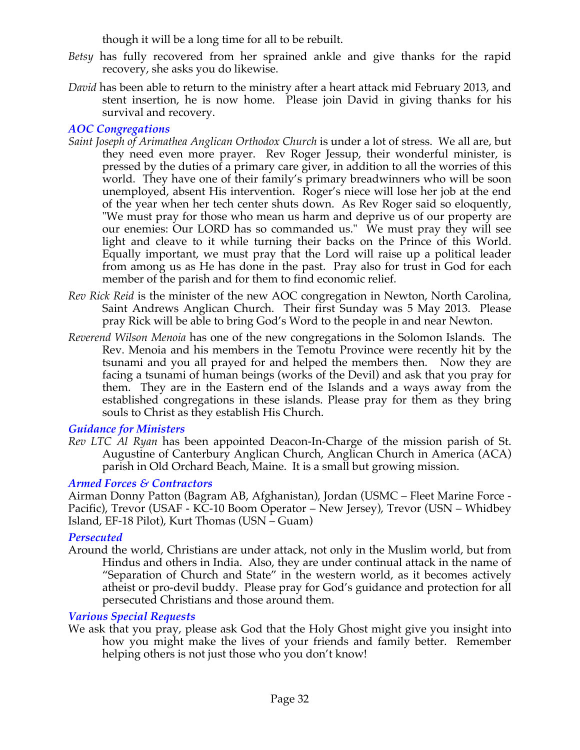though it will be a long time for all to be rebuilt.

- *Betsy* has fully recovered from her sprained ankle and give thanks for the rapid recovery, she asks you do likewise.
- *David* has been able to return to the ministry after a heart attack mid February 2013, and stent insertion, he is now home. Please join David in giving thanks for his survival and recovery.

# *AOC Congregations*

- *Saint Joseph of Arimathea Anglican Orthodox Church* is under a lot of stress. We all are, but they need even more prayer. Rev Roger Jessup, their wonderful minister, is pressed by the duties of a primary care giver, in addition to all the worries of this world. They have one of their family's primary breadwinners who will be soon unemployed, absent His intervention. Roger's niece will lose her job at the end of the year when her tech center shuts down. As Rev Roger said so eloquently, "We must pray for those who mean us harm and deprive us of our property are our enemies: Our LORD has so commanded us." We must pray they will see light and cleave to it while turning their backs on the Prince of this World. Equally important, we must pray that the Lord will raise up a political leader from among us as He has done in the past. Pray also for trust in God for each member of the parish and for them to find economic relief.
- *Rev Rick Reid* is the minister of the new AOC congregation in Newton, North Carolina, Saint Andrews Anglican Church. Their first Sunday was 5 May 2013. Please pray Rick will be able to bring God's Word to the people in and near Newton.
- *Reverend Wilson Menoia* has one of the new congregations in the Solomon Islands. The Rev. Menoia and his members in the Temotu Province were recently hit by the tsunami and you all prayed for and helped the members then. Now they are facing a tsunami of human beings (works of the Devil) and ask that you pray for them. They are in the Eastern end of the Islands and a ways away from the established congregations in these islands. Please pray for them as they bring souls to Christ as they establish His Church.

## *Guidance for Ministers*

*Rev LTC Al Ryan* has been appointed Deacon-In-Charge of the mission parish of St. Augustine of Canterbury Anglican Church, Anglican Church in America (ACA) parish in Old Orchard Beach, Maine. It is a small but growing mission.

# *Armed Forces & Contractors*

Airman Donny Patton (Bagram AB, Afghanistan), Jordan (USMC – Fleet Marine Force - Pacific), Trevor (USAF - KC-10 Boom Operator – New Jersey), Trevor (USN – Whidbey Island, EF-18 Pilot), Kurt Thomas (USN – Guam)

## *Persecuted*

Around the world, Christians are under attack, not only in the Muslim world, but from Hindus and others in India. Also, they are under continual attack in the name of "Separation of Church and State" in the western world, as it becomes actively atheist or pro-devil buddy. Please pray for God's guidance and protection for all persecuted Christians and those around them.

# *Various Special Requests*

We ask that you pray, please ask God that the Holy Ghost might give you insight into how you might make the lives of your friends and family better. Remember helping others is not just those who you don't know!